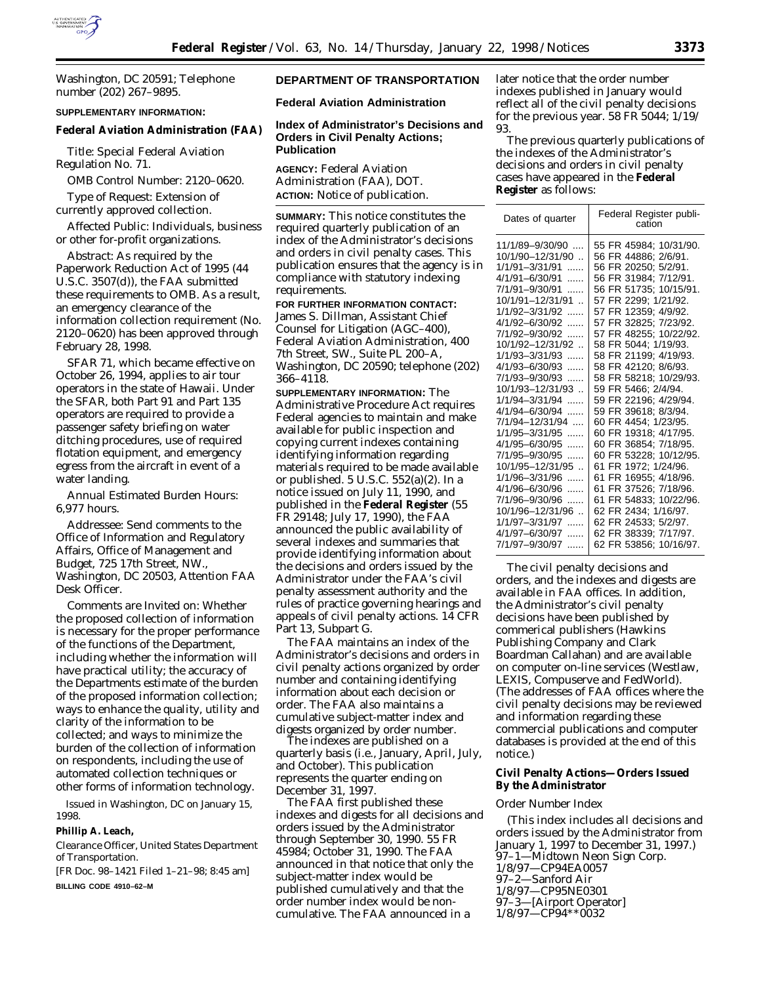

Washington, DC 20591; Telephone number (202) 267–9895.

#### **SUPPLEMENTARY INFORMATION:**

#### **Federal Aviation Administration (FAA)**

*Title:* Special Federal Aviation Regulation No. 71.

*OMB Control Number:* 2120–0620.

*Type of Request:* Extension of currently approved collection.

*Affected Public:* Individuals, business or other for-profit organizations.

*Abstract:* As required by the Paperwork Reduction Act of 1995 (44 U.S.C. 3507(d)), the FAA submitted these requirements to OMB. As a result, an emergency clearance of the information collection requirement (No. 2120–0620) has been approved through February 28, 1998.

SFAR 71, which became effective on October 26, 1994, applies to air tour operators in the state of Hawaii. Under the SFAR, both Part 91 and Part 135 operators are required to provide a passenger safety briefing on water ditching procedures, use of required flotation equipment, and emergency egress from the aircraft in event of a water landing.

# *Annual Estimated Burden Hours:* 6,977 hours.

*Addressee:* Send comments to the Office of Information and Regulatory Affairs, Office of Management and Budget, 725 17th Street, NW., Washington, DC 20503, Attention FAA Desk Officer.

*Comments are Invited on:* Whether the proposed collection of information is necessary for the proper performance of the functions of the Department, including whether the information will have practical utility; the accuracy of the Departments estimate of the burden of the proposed information collection; ways to enhance the quality, utility and clarity of the information to be collected; and ways to minimize the burden of the collection of information on respondents, including the use of automated collection techniques or other forms of information technology.

Issued in Washington, DC on January 15, 1998.

#### **Phillip A. Leach,**

*Clearance Officer, United States Department of Transportation.*

[FR Doc. 98–1421 Filed 1–21–98; 8:45 am] **BILLING CODE 4910–62–M**

# **DEPARTMENT OF TRANSPORTATION**

**Federal Aviation Administration**

#### **Index of Administrator's Decisions and Orders in Civil Penalty Actions; Publication**

**AGENCY:** Federal Aviation Administration (FAA), DOT. **ACTION:** Notice of publication.

**SUMMARY:** This notice constitutes the required quarterly publication of an index of the Administrator's decisions and orders in civil penalty cases. This publication ensures that the agency is in compliance with statutory indexing requirements.

**FOR FURTHER INFORMATION CONTACT:** James S. Dillman, Assistant Chief Counsel for Litigation (AGC–400), Federal Aviation Administration, 400 7th Street, SW., Suite PL 200–A, Washington, DC 20590; telephone (202) 366–4118.

**SUPPLEMENTARY INFORMATION:** The Administrative Procedure Act requires Federal agencies to maintain and make available for public inspection and copying current indexes containing identifying information regarding materials required to be made available or published. 5 U.S.C. 552(a)(2). In a notice issued on July 11, 1990, and published in the **Federal Register** (55 FR 29148; July 17, 1990), the FAA announced the public availability of several indexes and summaries that provide identifying information about the decisions and orders issued by the Administrator under the FAA's civil penalty assessment authority and the rules of practice governing hearings and appeals of civil penalty actions. 14 CFR Part 13, Subpart G.

The FAA maintains an index of the Administrator's decisions and orders in civil penalty actions organized by order number and containing identifying information about each decision or order. The FAA also maintains a cumulative subject-matter index and digests organized by order number.

The indexes are published on a quarterly basis (i.e., January, April, July, and October). This publication represents the quarter ending on December 31, 1997.

The FAA first published these indexes and digests for all decisions and orders issued by the Administrator through September 30, 1990. 55 FR 45984; October 31, 1990. The FAA announced in that notice that only the subject-matter index would be published cumulatively and that the order number index would be noncumulative. The FAA announced in a

later notice that the order number indexes published in January would reflect all of the civil penalty decisions for the previous year. 58 FR 5044; 1/19/ 93.

The previous quarterly publications of the indexes of the Administrator's decisions and orders in civil penalty cases have appeared in the **Federal Register** as follows:

| Dates of quarter                                                                                                                                                                                                                                                                                                                                                | Federal Register publi-<br>cation                                                                                                                                                                                                                                                                                                                                                                       |
|-----------------------------------------------------------------------------------------------------------------------------------------------------------------------------------------------------------------------------------------------------------------------------------------------------------------------------------------------------------------|---------------------------------------------------------------------------------------------------------------------------------------------------------------------------------------------------------------------------------------------------------------------------------------------------------------------------------------------------------------------------------------------------------|
| 11/1/89-9/30/90<br>10/1/90-12/31/90.<br>1/1/91-3/31/91<br>.<br>4/1/91-6/30/91<br>.<br>7/1/91-9/30/91<br>.<br>10/1/91-12/31/91<br>1/1/92-3/31/92<br>.<br>4/1/92-6/30/92<br>.<br>7/1/92-9/30/92<br>.<br>10/1/92-12/31/92<br>1/1/93-3/31/93<br>.<br>4/1/93-6/30/93<br>.<br>7/1/93-9/30/93<br>10/1/93-12/31/93<br>1/1/94-3/31/94<br>$\cdots$<br>4/1/94-6/30/94<br>. | 55 FR 45984: 10/31/90.<br>56 FR 44886: 2/6/91.<br>56 FR 20250; 5/2/91.<br>56 FR 31984: 7/12/91.<br>56 FR 51735; 10/15/91.<br>57 FR 2299: 1/21/92.<br>57 FR 12359: 4/9/92.<br>57 FR 32825: 7/23/92.<br>57 FR 48255; 10/22/92.<br>58 FR 5044; 1/19/93.<br>58 FR 21199; 4/19/93.<br>58 FR 42120: 8/6/93.<br>58 FR 58218; 10/29/93.<br>59 FR 5466; 2/4/94.<br>59 FR 22196; 4/29/94.<br>59 FR 39618: 8/3/94. |
| 7/1/94-12/31/94<br>1/1/95-3/31/95<br>4/1/95-6/30/95<br>.                                                                                                                                                                                                                                                                                                        | 60 FR 4454: 1/23/95.<br>60 FR 19318; 4/17/95.<br>60 FR 36854: 7/18/95.                                                                                                                                                                                                                                                                                                                                  |
| 7/1/95-9/30/95<br>$\ldots$<br>10/1/95-12/31/95<br>1/1/96-3/31/96<br>.                                                                                                                                                                                                                                                                                           | 60 FR 53228; 10/12/95.<br>61 FR 1972; 1/24/96.<br>61 FR 16955; 4/18/96.                                                                                                                                                                                                                                                                                                                                 |
| 4/1/96–6/30/96<br>.<br>7/1/96–9/30/96<br>.<br>10/1/96-12/31/96<br>1/1/97-3/31/97<br>.<br>4/1/97-6/30/97<br>.<br>7/1/97-9/30/97                                                                                                                                                                                                                                  | 61 FR 37526; 7/18/96.<br>61 FR 54833: 10/22/96.<br>62 FR 2434; 1/16/97.<br>62 FR 24533: 5/2/97.<br>62 FR 38339: 7/17/97.<br>62 FR 53856; 10/16/97.                                                                                                                                                                                                                                                      |
| .                                                                                                                                                                                                                                                                                                                                                               |                                                                                                                                                                                                                                                                                                                                                                                                         |

The civil penalty decisions and orders, and the indexes and digests are available in FAA offices. In addition, the Administrator's civil penalty decisions have been published by commerical publishers (Hawkins Publishing Company and Clark Boardman Callahan) and are available on computer on-line services (Westlaw, LEXIS, Compuserve and FedWorld). (The addresses of FAA offices where the civil penalty decisions may be reviewed and information regarding these commercial publications and computer databases is provided at the end of this notice.)

### **Civil Penalty Actions—Orders Issued By the Administrator**

#### *Order Number Index*

(This index includes all decisions and orders issued by the Administrator from January 1, 1997 to December 31, 1997.) 97–1—Midtown Neon Sign Corp. 1/8/97—CP94EA0057 97–2—Sanford Air 1/8/97—CP95NE0301 97–3—[Airport Operator] 1/8/97—CP94\*\*0032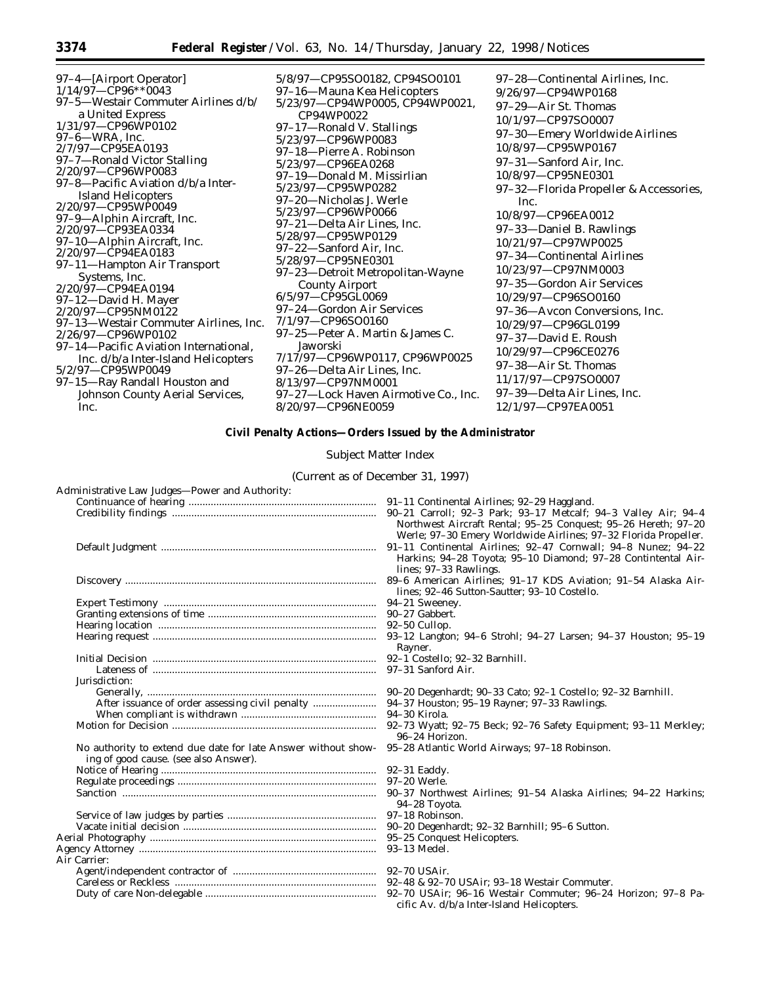97–4—[Airport Operator] 1/14/97—CP96\*\*0043 97–5—Westair Commuter Airlines d/b/ a United Express 1/31/97—CP96WP0102 97–6—WRA, Inc. 2/7/97—CP95EA0193 97–7—Ronald Victor Stalling 2/20/97—CP96WP0083 97–8—Pacific Aviation d/b/a Inter-Island Helicopters 2/20/97—CP95WP0049 97–9—Alphin Aircraft, Inc. 2/20/97—CP93EA0334 97–10—Alphin Aircraft, Inc. 2/20/97—CP94EA0183 97–11—Hampton Air Transport Systems, Inc. 2/20/97—CP94EA0194 97–12—David H. Mayer 2/20/97—CP95NM0122 97–13—Westair Commuter Airlines, Inc. 2/26/97—CP96WP0102 97–14—Pacific Aviation International, Inc. d/b/a Inter-Island Helicopters 5/2/97—CP95WP0049 97–15—Ray Randall Houston and Johnson County Aerial Services, Inc.

5/8/97—CP95SO0182, CP94SO0101 97–16—Mauna Kea Helicopters 5/23/97—CP94WP0005, CP94WP0021, CP94WP0022 97–17—Ronald V. Stallings 5/23/97—CP96WP0083 97–18—Pierre A. Robinson 5/23/97—CP96EA0268 97–19—Donald M. Missirlian 5/23/97—CP95WP0282 97–20—Nicholas J. Werle 5/23/97—CP96WP0066 97–21—Delta Air Lines, Inc. 5/28/97—CP95WP0129 97–22—Sanford Air, Inc. 5/28/97—CP95NE0301 97–23—Detroit Metropolitan-Wayne County Airport 6/5/97—CP95GL0069 97–24—Gordon Air Services 7/1/97—CP96SO0160 97–25—Peter A. Martin & James C. Jaworski 7/17/97—CP96WP0117, CP96WP0025 97–26—Delta Air Lines, Inc. 8/13/97—CP97NM0001 97–27—Lock Haven Airmotive Co., Inc. 8/20/97—CP96NE0059

97–28—Continental Airlines, Inc. 9/26/97—CP94WP0168 97–29—Air St. Thomas 10/1/97—CP97SO0007 97–30—Emery Worldwide Airlines 10/8/97—CP95WP0167 97–31—Sanford Air, Inc. 10/8/97—CP95NE0301 97–32—Florida Propeller & Accessories, Inc. 10/8/97—CP96EA0012 97–33—Daniel B. Rawlings 10/21/97—CP97WP0025 97–34—Continental Airlines 10/23/97—CP97NM0003 97–35—Gordon Air Services 10/29/97—CP96SO0160 97–36—Avcon Conversions, Inc. 10/29/97—CP96GL0199 97–37—David E. Roush 10/29/97—CP96CE0276 97–38—Air St. Thomas 11/17/97—CP97SO0007 97–39—Delta Air Lines, Inc. 12/1/97—CP97EA0051

# **Civil Penalty Actions—Orders Issued by the Administrator**

*Subject Matter Index*

(Current as of December 31, 1997)

| Administrative Law Judges—Power and Authority:                |                                                                                                                                                          |
|---------------------------------------------------------------|----------------------------------------------------------------------------------------------------------------------------------------------------------|
|                                                               | 91–11 Continental Airlines; 92–29 Haggland.                                                                                                              |
|                                                               | 90-21 Carroll; 92-3 Park; 93-17 Metcalf; 94-3 Valley Air; 94-4<br>Northwest Aircraft Rental; 95-25 Conquest; 95-26 Hereth; 97-20                         |
|                                                               | Werle; 97-30 Emery Worldwide Airlines; 97-32 Florida Propeller.                                                                                          |
|                                                               | 91-11 Continental Airlines; 92-47 Cornwall; 94-8 Nunez; 94-22<br>Harkins; 94-28 Toyota; 95-10 Diamond; 97-28 Contintental Air-<br>lines; 97-33 Rawlings. |
|                                                               | 89-6 American Airlines; 91-17 KDS Aviation; 91-54 Alaska Air-<br>lines; 92-46 Sutton-Sautter; 93-10 Costello.                                            |
|                                                               | 94-21 Sweeney.                                                                                                                                           |
|                                                               | 90-27 Gabbert.                                                                                                                                           |
|                                                               | $92-50$ Cullop.                                                                                                                                          |
|                                                               | 93-12 Langton; 94-6 Strohl; 94-27 Larsen; 94-37 Houston; 95-19<br>Rayner.                                                                                |
|                                                               |                                                                                                                                                          |
|                                                               | 97-31 Sanford Air.                                                                                                                                       |
| Jurisdiction:                                                 |                                                                                                                                                          |
|                                                               | 90-20 Degenhardt; 90-33 Cato; 92-1 Costello; 92-32 Barnhill.                                                                                             |
|                                                               | 94–37 Houston; 95–19 Rayner; 97–33 Rawlings.                                                                                                             |
|                                                               | 94-30 Kirola.                                                                                                                                            |
|                                                               | 92-73 Wyatt; 92-75 Beck; 92-76 Safety Equipment; 93-11 Merkley;<br>96-24 Horizon.                                                                        |
| No authority to extend due date for late Answer without show- | 95-28 Atlantic World Airways; 97-18 Robinson.                                                                                                            |
| ing of good cause. (see also Answer).                         |                                                                                                                                                          |
|                                                               |                                                                                                                                                          |
|                                                               | 97–20 Werle.                                                                                                                                             |
|                                                               | 90–37 Northwest Airlines; 91–54 Alaska Airlines; 94–22 Harkins;                                                                                          |
|                                                               | 94-28 Toyota.                                                                                                                                            |
|                                                               | 97–18 Robinson.                                                                                                                                          |
|                                                               | 90-20 Degenhardt; 92-32 Barnhill; 95-6 Sutton.                                                                                                           |
|                                                               | 95–25 Conquest Helicopters.                                                                                                                              |
|                                                               | 93-13 Medel.                                                                                                                                             |
| Air Carrier:                                                  |                                                                                                                                                          |
|                                                               |                                                                                                                                                          |
|                                                               |                                                                                                                                                          |
|                                                               | cific Av. d/b/a Inter-Island Helicopters.                                                                                                                |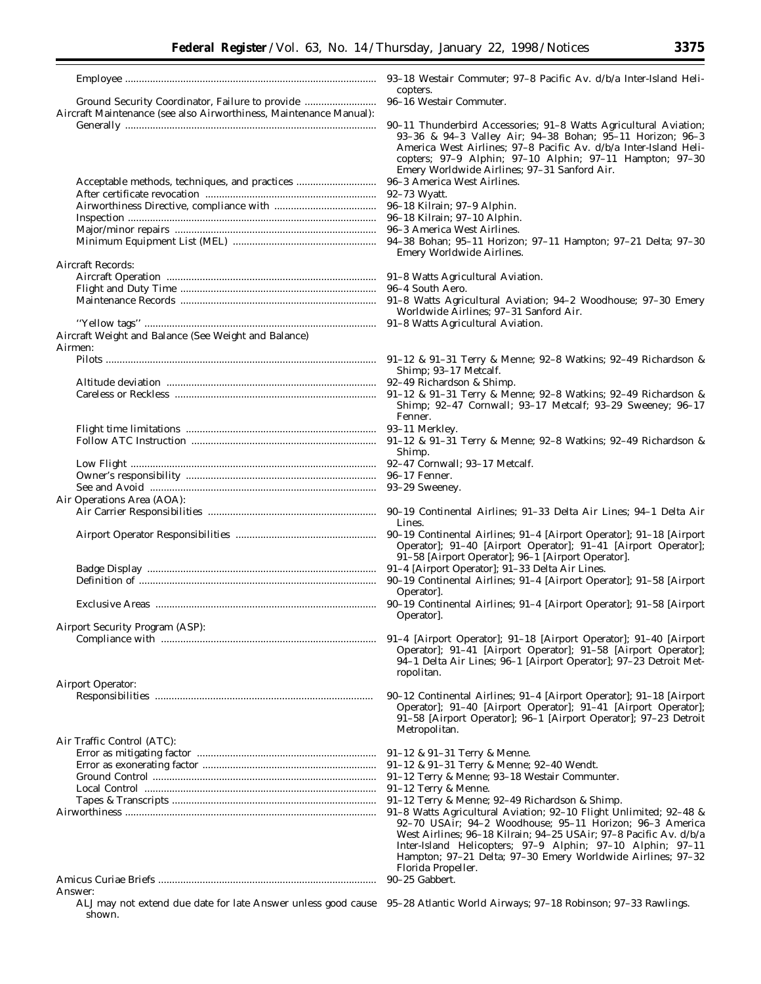|                                                                                                                       | 93-18 Westair 0                       |
|-----------------------------------------------------------------------------------------------------------------------|---------------------------------------|
|                                                                                                                       | copters.                              |
| Ground Security Coordinator, Failure to provide<br>Aircraft Maintenance (see also Airworthiness, Maintenance Manual): | 96-16 Westair C                       |
|                                                                                                                       | 90-11 Thunderl                        |
|                                                                                                                       | $93 - 36$ & $94 - 3$                  |
|                                                                                                                       | America West                          |
|                                                                                                                       | copters; 97-9                         |
|                                                                                                                       | Emery Worldy                          |
| Acceptable methods, techniques, and practices                                                                         | 96-3 America W                        |
|                                                                                                                       | 92–73 Wyatt.<br>96-18 Kilrain; 9      |
|                                                                                                                       | 96–18 Kilrain: 9                      |
|                                                                                                                       | 96–3 America W                        |
|                                                                                                                       | 94-38 Bohan: 9                        |
|                                                                                                                       | Emery Worldy                          |
| Aircraft Records:                                                                                                     |                                       |
|                                                                                                                       | 91-8 Watts Agri<br>96–4 South Aero    |
|                                                                                                                       | 91–8 Watts Agr                        |
|                                                                                                                       | Worldwide Ai                          |
|                                                                                                                       | 91-8 Watts Agri                       |
| Aircraft Weight and Balance (See Weight and Balance)                                                                  |                                       |
| Airmen:                                                                                                               |                                       |
|                                                                                                                       | $91-12$ & $91-31$<br>Shimp; 93–17     |
|                                                                                                                       | 92-49 Richardso                       |
|                                                                                                                       | $91 - 12$ & $91 - 31$                 |
|                                                                                                                       | Shimp; 92-47<br>Fenner.               |
|                                                                                                                       | 93-11 Merkley.                        |
|                                                                                                                       | $91-12$ & $91-31$                     |
|                                                                                                                       | Shimp.                                |
|                                                                                                                       | 92-47 Cornwall:                       |
|                                                                                                                       | 96–17 Fenner.<br>93-29 Sweeney.       |
| Air Operations Area (AOA):                                                                                            |                                       |
|                                                                                                                       | 90-19 Continen                        |
|                                                                                                                       | Lines.                                |
|                                                                                                                       | 90-19 Continen                        |
|                                                                                                                       | Operator]; 91<br>$91-58$ [Airpor      |
|                                                                                                                       | 91-4 [Airport O                       |
|                                                                                                                       | 90-19 Continen                        |
|                                                                                                                       | Operator.                             |
|                                                                                                                       | 90-19 Continen                        |
| Airport Security Program (ASP):                                                                                       | Operator].                            |
|                                                                                                                       | 91–4 [Airport C                       |
|                                                                                                                       | Operator]; 91                         |
|                                                                                                                       | 94–1 Delta Ai                         |
|                                                                                                                       | ropolitan.                            |
| Airport Operator:                                                                                                     | 90-12 Continen                        |
|                                                                                                                       | Operator]; 91                         |
|                                                                                                                       | $91-58$ [Airpor                       |
|                                                                                                                       | Metropolitan.                         |
| Air Traffic Control (ATC):                                                                                            | $91 - 12$ & $91 - 31$                 |
|                                                                                                                       | $91 - 12$ & $91 - 31$                 |
|                                                                                                                       | 91-12 Terry & N                       |
|                                                                                                                       | 91-12 Terry & N                       |
|                                                                                                                       | 91-12 Terry & N                       |
|                                                                                                                       | 91-8 Watts Agri                       |
|                                                                                                                       | 92–70 USAir:<br><b>West Airlines:</b> |
|                                                                                                                       | Inter-Island I                        |
|                                                                                                                       | Hampton; 97-                          |
|                                                                                                                       | Florida Propel                        |
|                                                                                                                       | 90-25 Gabbert.                        |

- Thunderbird Accessories; 91-8 Watts Agricultural Aviation; 93–36 & 94–3 Valley Air; 94–38 Bohan; 95–11 Horizon; 96–3 erica West Airlines; 97–8 Pacific Av. d/b/a Inter-Island Heliters; 97–9 Alphin; 97–10 Alphin; 97–11 Hampton; 97–30 ery Worldwide Airlines; 97–31 Sanford Air.
- America West Airlines.
- 
- Kilrain; 97–9 Alphin.
- Kilrain; 97–10 Alphin.
- America West Airlines.
- Bohan; 95–11 Horizon; 97–11 Hampton; 97–21 Delta; 97–30 ery Worldwide Airlines.
	- Watts Agricultural Aviation.
- South Aero.
- Watts Agricultural Aviation; 94–2 Woodhouse; 97–30 Emery rldwide Airlines; 97–31 Sanford Air.
- Watts Agricultural Aviation.
- & 91-31 Terry & Menne; 92-8 Watkins; 92-49 Richardson & mp; 93-17 Metcalf.
- Richardson & Shimp.
- & 91-31 Terry & Menne; 92-8 Watkins; 92-49 Richardson & mp; 92–47 Cornwall; 93–17 Metcalf; 93–29 Sweeney; 96–17 mer.
- 
- & 91-31 Terry & Menne; 92-8 Watkins; 92-49 Richardson & mp.
- Cornwall; 93–17 Metcalf.
- 
- 
- Continental Airlines; 91-33 Delta Air Lines; 94-1 Delta Air es
- Continental Airlines; 91-4 [Airport Operator]; 91-18 [Airport erator]; 91–40 [Airport Operator]; 91–41 [Airport Operator]; 58 [Airport Operator]; 96–1 [Airport Operator].
- [Airport Operator]; 91–33 Delta Air Lines.
- Continental Airlines; 91-4 [Airport Operator]; 91-58 [Airport rator].
- Continental Airlines; 91-4 [Airport Operator]; 91-58 [Airport erator].
- [Airport Operator]; 91-18 [Airport Operator]; 91-40 [Airport erator]; 91-41 [Airport Operator]; 91-58 [Airport Operator]; 94–1 Delta Air Lines; 96–1 [Airport Operator]; 97–23 Detroit Metolitan.
- Continental Airlines; 91-4 [Airport Operator]; 91-18 [Airport erator]; 91–40 [Airport Operator]; 91–41 [Airport Operator]; 58 [Airport Operator]; 96-1 [Airport Operator]; 97-23 Detroit ropolitan.
- & 91-31 Terry & Menne.
- & 91-31 Terry & Menne; 92-40 Wendt.
- Terry & Menne; 93-18 Westair Communter.
- Terry & Menne.
- Terry & Menne; 92-49 Richardson & Shimp.
- Watts Agricultural Aviation; 92-10 Flight Unlimited; 92-48 & 92–70 USAir; 94–2 Woodhouse; 95–11 Horizon; 96–3 America st Airlines; 96–18 Kilrain; 94–25 USAir; 97–8 Pacific Av. d/b/a Inter-Island Helicopters; 97–9 Alphin; 97–10 Alphin; 97–11 npton; 97–21 Delta; 97–30 Emery Worldwide Airlines; 97–32 rida Propeller.<br>Gabbert.
- 

ALJ may not extend due date for late Answer unless good cause 95–28 Atlantic World Airways; 97–18 Robinson; 97–33 Rawlings.shown.

Answer:

Westair Commuter; 97-8 Pacific Av. d/b/a Inter-Island Heliters.

Westair Commuter.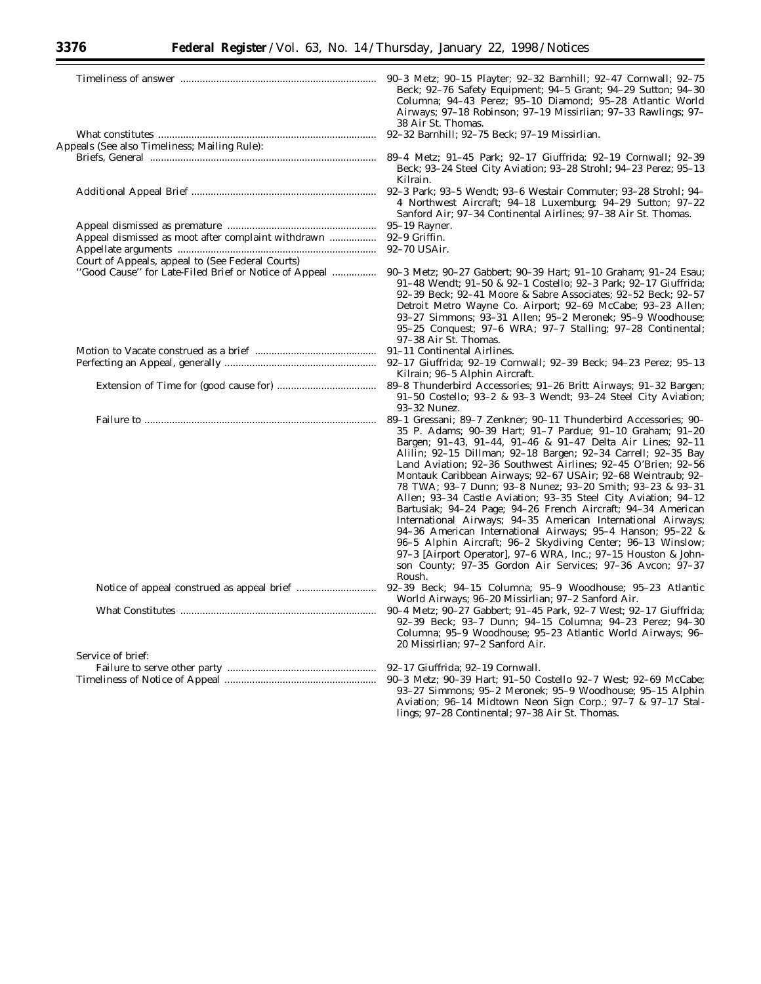п

|                                                                                                           | Beck; 92-76 Safety Equipment; 94-5 Grant; 94-29 Sutton; 94-30<br>Columna; 94-43 Perez; 95-10 Diamond; 95-28 Atlantic World<br>Airways; 97-18 Robinson; 97-19 Missirlian; 97-33 Rawlings; 97-<br>38 Air St. Thomas.                                                                                                                                                                                                                                                                                                                                                                                                                                                                                                                                                                                                                                                                                                                |
|-----------------------------------------------------------------------------------------------------------|-----------------------------------------------------------------------------------------------------------------------------------------------------------------------------------------------------------------------------------------------------------------------------------------------------------------------------------------------------------------------------------------------------------------------------------------------------------------------------------------------------------------------------------------------------------------------------------------------------------------------------------------------------------------------------------------------------------------------------------------------------------------------------------------------------------------------------------------------------------------------------------------------------------------------------------|
| Appeals (See also Timeliness; Mailing Rule):                                                              |                                                                                                                                                                                                                                                                                                                                                                                                                                                                                                                                                                                                                                                                                                                                                                                                                                                                                                                                   |
|                                                                                                           | Beck; 93-24 Steel City Aviation; 93-28 Strohl; 94-23 Perez; 95-13<br>Kilrain.                                                                                                                                                                                                                                                                                                                                                                                                                                                                                                                                                                                                                                                                                                                                                                                                                                                     |
|                                                                                                           | 4 Northwest Aircraft; 94-18 Luxemburg; 94-29 Sutton; 97-22<br>Sanford Air; 97-34 Continental Airlines; 97-38 Air St. Thomas.                                                                                                                                                                                                                                                                                                                                                                                                                                                                                                                                                                                                                                                                                                                                                                                                      |
|                                                                                                           | 95–19 Rayner.                                                                                                                                                                                                                                                                                                                                                                                                                                                                                                                                                                                                                                                                                                                                                                                                                                                                                                                     |
| Appeal dismissed as moot after complaint withdrawn                                                        | 92-9 Griffin.                                                                                                                                                                                                                                                                                                                                                                                                                                                                                                                                                                                                                                                                                                                                                                                                                                                                                                                     |
|                                                                                                           | 92-70 USAir.                                                                                                                                                                                                                                                                                                                                                                                                                                                                                                                                                                                                                                                                                                                                                                                                                                                                                                                      |
| Court of Appeals, appeal to (See Federal Courts)<br>"Good Cause" for Late-Filed Brief or Notice of Appeal | 90–3 Metz; 90–27 Gabbert; 90–39 Hart; 91–10 Graham; 91–24 Esau;                                                                                                                                                                                                                                                                                                                                                                                                                                                                                                                                                                                                                                                                                                                                                                                                                                                                   |
|                                                                                                           | 91-48 Wendt; 91-50 & 92-1 Costello; 92-3 Park; 92-17 Giuffrida;<br>92-39 Beck; 92-41 Moore & Sabre Associates; 92-52 Beck; 92-57<br>Detroit Metro Wayne Co. Airport; 92-69 McCabe; 93-23 Allen;<br>93-27 Simmons; 93-31 Allen; 95-2 Meronek; 95-9 Woodhouse;<br>95-25 Conquest; 97-6 WRA; 97-7 Stalling; 97-28 Continental;                                                                                                                                                                                                                                                                                                                                                                                                                                                                                                                                                                                                       |
|                                                                                                           | 97-38 Air St. Thomas.                                                                                                                                                                                                                                                                                                                                                                                                                                                                                                                                                                                                                                                                                                                                                                                                                                                                                                             |
|                                                                                                           |                                                                                                                                                                                                                                                                                                                                                                                                                                                                                                                                                                                                                                                                                                                                                                                                                                                                                                                                   |
|                                                                                                           |                                                                                                                                                                                                                                                                                                                                                                                                                                                                                                                                                                                                                                                                                                                                                                                                                                                                                                                                   |
|                                                                                                           | Kilrain; 96–5 Alphin Aircraft.                                                                                                                                                                                                                                                                                                                                                                                                                                                                                                                                                                                                                                                                                                                                                                                                                                                                                                    |
|                                                                                                           | 91-50 Costello; 93-2 & 93-3 Wendt; 93-24 Steel City Aviation;<br>93-32 Nunez.                                                                                                                                                                                                                                                                                                                                                                                                                                                                                                                                                                                                                                                                                                                                                                                                                                                     |
|                                                                                                           | 89-1 Gressani; 89-7 Zenkner; 90-11 Thunderbird Accessories; 90-<br>35 P. Adams; 90-39 Hart; 91-7 Pardue; 91-10 Graham; 91-20<br>Bargen; 91-43, 91-44, 91-46 & 91-47 Delta Air Lines; 92-11<br>Alilin; 92-15 Dillman; 92-18 Bargen; 92-34 Carrell; 92-35 Bay<br>Land Aviation; 92-36 Southwest Airlines; 92-45 O'Brien; 92-56<br>Montauk Caribbean Airways; 92-67 USAir; 92-68 Weintraub; 92-<br>78 TWA; 93-7 Dunn; 93-8 Nunez; 93-20 Smith; 93-23 & 93-31<br>Allen; 93-34 Castle Aviation; 93-35 Steel City Aviation; 94-12<br>Bartusiak; 94-24 Page; 94-26 French Aircraft; 94-34 American<br>International Airways; 94-35 American International Airways;<br>94-36 American International Airways; 95-4 Hanson; 95-22 &<br>96–5 Alphin Aircraft; 96–2 Skydiving Center; 96–13 Winslow;<br>97-3 [Airport Operator], 97-6 WRA, Inc.; 97-15 Houston & John-<br>son County; 97-35 Gordon Air Services; 97-36 Avcon; 97-37<br>Roush. |
|                                                                                                           | 92-39 Beck; 94-15 Columna; 95-9 Woodhouse; 95-23 Atlantic<br>World Airways; 96-20 Missirlian; 97-2 Sanford Air.                                                                                                                                                                                                                                                                                                                                                                                                                                                                                                                                                                                                                                                                                                                                                                                                                   |
|                                                                                                           | 90-4 Metz; 90-27 Gabbert; 91-45 Park, 92-7 West; 92-17 Giuffrida;<br>92-39 Beck; 93-7 Dunn; 94-15 Columna; 94-23 Perez; 94-30<br>Columna; 95-9 Woodhouse; 95-23 Atlantic World Airways; 96-<br>20 Missirlian; 97-2 Sanford Air.                                                                                                                                                                                                                                                                                                                                                                                                                                                                                                                                                                                                                                                                                                   |
| Service of brief:                                                                                         |                                                                                                                                                                                                                                                                                                                                                                                                                                                                                                                                                                                                                                                                                                                                                                                                                                                                                                                                   |
|                                                                                                           | 90-3 Metz; 90-39 Hart; 91-50 Costello 92-7 West; 92-69 McCabe;<br>93-27 Simmons; 95-2 Meronek; 95-9 Woodhouse; 95-15 Alphin<br>Aviation; 96-14 Midtown Neon Sign Corp.; 97-7 & 97-17 Stal-                                                                                                                                                                                                                                                                                                                                                                                                                                                                                                                                                                                                                                                                                                                                        |

lings; 97–28 Continental; 97–38 Air St. Thomas.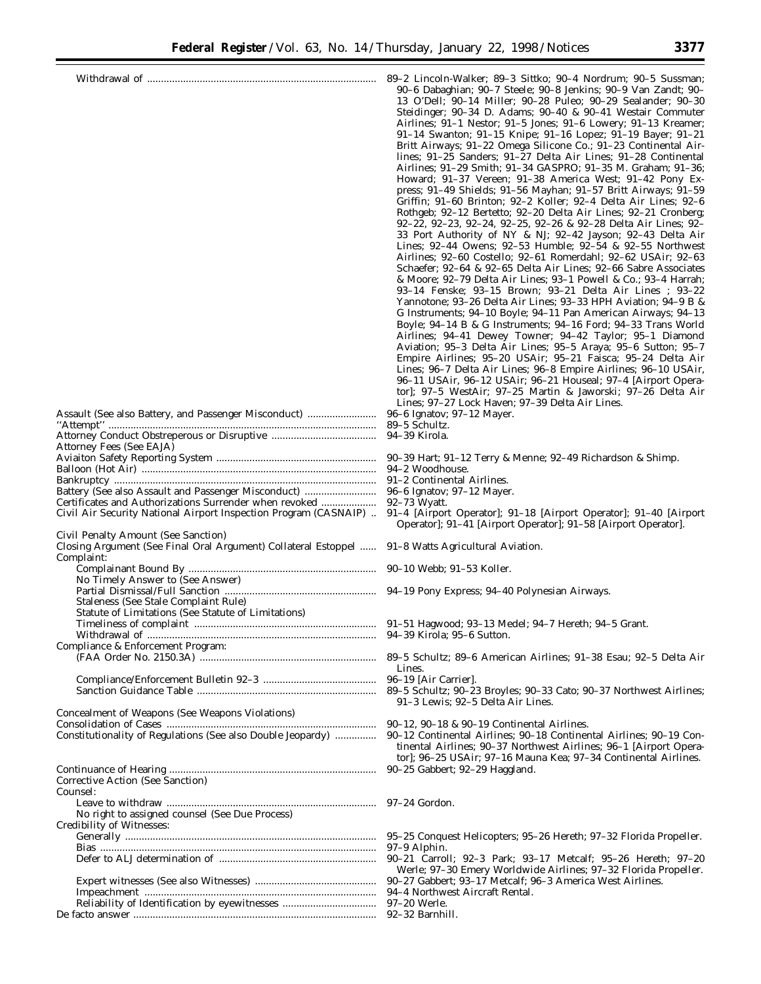|                                                                                                                            | 89-2 Lincoln-Walker; 89-3 Sittko; 90-4 Nordrum; 90-5 Sussman;<br>90-6 Dabaghian; 90-7 Steele; 90-8 Jenkins; 90-9 Van Zandt; 90-<br>13 O'Dell; 90-14 Miller; 90-28 Puleo; 90-29 Sealander; 90-30<br>Steidinger; 90-34 D. Adams; 90-40 & 90-41 Westair Commuter<br>Airlines; 91-1 Nestor; 91-5 Jones; 91-6 Lowery; 91-13 Kreamer;<br>91-14 Swanton; 91-15 Knipe; 91-16 Lopez; 91-19 Bayer; 91-21<br>Britt Airways; 91-22 Omega Silicone Co.; 91-23 Continental Air-<br>lines; 91-25 Sanders; 91-27 Delta Air Lines; 91-28 Continental<br>Airlines; 91-29 Smith; 91-34 GASPRO; 91-35 M. Graham; 91-36;<br>Howard; 91–37 Vereen; 91–38 America West; 91–42 Pony Ex-<br>press; 91-49 Shields; 91-56 Mayhan; 91-57 Britt Airways; 91-59<br>Griffin; 91-60 Brinton; 92-2 Koller; 92-4 Delta Air Lines; 92-6<br>Rothgeb; 92-12 Bertetto; 92-20 Delta Air Lines; 92-21 Cronberg;<br>92-22, 92-23, 92-24, 92-25, 92-26 & 92-28 Delta Air Lines; 92-<br>33 Port Authority of NY & NJ; 92-42 Jayson; 92-43 Delta Air<br>Lines; 92-44 Owens; 92-53 Humble; 92-54 & 92-55 Northwest<br>Airlines; 92–60 Costello; 92–61 Romerdahl; 92–62 USAir; 92–63<br>Schaefer; 92–64 & 92–65 Delta Air Lines; 92–66 Sabre Associates<br>& Moore; 92–79 Delta Air Lines; 93–1 Powell & Co.; 93–4 Harrah;<br>93–14 Fenske; 93–15 Brown; 93–21 Delta Air Lines ; 93–22<br>Yannotone; 93–26 Delta Air Lines; 93–33 HPH Aviation; 94–9 B &<br>G Instruments; 94–10 Boyle; 94–11 Pan American Airways; 94–13<br>Boyle; 94-14 B & G Instruments; 94-16 Ford; 94-33 Trans World<br>Airlines; 94-41 Dewey Towner; 94-42 Taylor; 95-1 Diamond<br>Aviation; 95-3 Delta Air Lines; 95-5 Araya; 95-6 Sutton; 95-7<br>Empire Airlines; 95-20 USAir; 95-21 Faisca; 95-24 Delta Air<br>Lines; 96-7 Delta Air Lines; 96-8 Empire Airlines; 96-10 USAir,<br>96-11 USAir, 96-12 USAir; 96-21 Houseal; 97-4 [Airport Opera-<br>tor]; 97-5 WestAir; 97-25 Martin & Jaworski; 97-26 Delta Air |
|----------------------------------------------------------------------------------------------------------------------------|----------------------------------------------------------------------------------------------------------------------------------------------------------------------------------------------------------------------------------------------------------------------------------------------------------------------------------------------------------------------------------------------------------------------------------------------------------------------------------------------------------------------------------------------------------------------------------------------------------------------------------------------------------------------------------------------------------------------------------------------------------------------------------------------------------------------------------------------------------------------------------------------------------------------------------------------------------------------------------------------------------------------------------------------------------------------------------------------------------------------------------------------------------------------------------------------------------------------------------------------------------------------------------------------------------------------------------------------------------------------------------------------------------------------------------------------------------------------------------------------------------------------------------------------------------------------------------------------------------------------------------------------------------------------------------------------------------------------------------------------------------------------------------------------------------------------------------------------------------------------------------------------------------------------------------------------|
| Assault (See also Battery, and Passenger Misconduct)                                                                       | Lines; 97–27 Lock Haven; 97–39 Delta Air Lines.                                                                                                                                                                                                                                                                                                                                                                                                                                                                                                                                                                                                                                                                                                                                                                                                                                                                                                                                                                                                                                                                                                                                                                                                                                                                                                                                                                                                                                                                                                                                                                                                                                                                                                                                                                                                                                                                                              |
|                                                                                                                            | 96–6 Ignatov; 97–12 Mayer.                                                                                                                                                                                                                                                                                                                                                                                                                                                                                                                                                                                                                                                                                                                                                                                                                                                                                                                                                                                                                                                                                                                                                                                                                                                                                                                                                                                                                                                                                                                                                                                                                                                                                                                                                                                                                                                                                                                   |
|                                                                                                                            |                                                                                                                                                                                                                                                                                                                                                                                                                                                                                                                                                                                                                                                                                                                                                                                                                                                                                                                                                                                                                                                                                                                                                                                                                                                                                                                                                                                                                                                                                                                                                                                                                                                                                                                                                                                                                                                                                                                                              |
| Attorney Fees (See EAJA)                                                                                                   | 90-39 Hart; 91-12 Terry & Menne; 92-49 Richardson & Shimp.                                                                                                                                                                                                                                                                                                                                                                                                                                                                                                                                                                                                                                                                                                                                                                                                                                                                                                                                                                                                                                                                                                                                                                                                                                                                                                                                                                                                                                                                                                                                                                                                                                                                                                                                                                                                                                                                                   |
|                                                                                                                            | 94–2 Woodhouse.                                                                                                                                                                                                                                                                                                                                                                                                                                                                                                                                                                                                                                                                                                                                                                                                                                                                                                                                                                                                                                                                                                                                                                                                                                                                                                                                                                                                                                                                                                                                                                                                                                                                                                                                                                                                                                                                                                                              |
|                                                                                                                            | 91–2 Continental Airlines.                                                                                                                                                                                                                                                                                                                                                                                                                                                                                                                                                                                                                                                                                                                                                                                                                                                                                                                                                                                                                                                                                                                                                                                                                                                                                                                                                                                                                                                                                                                                                                                                                                                                                                                                                                                                                                                                                                                   |
| Battery (See also Assault and Passenger Misconduct)                                                                        | 96-6 Ignatov; 97-12 Mayer.                                                                                                                                                                                                                                                                                                                                                                                                                                                                                                                                                                                                                                                                                                                                                                                                                                                                                                                                                                                                                                                                                                                                                                                                                                                                                                                                                                                                                                                                                                                                                                                                                                                                                                                                                                                                                                                                                                                   |
| Certificates and Authorizations Surrender when revoked<br>Civil Air Security National Airport Inspection Program (CASNAIP) | 92–73 Wyatt.<br>91–4 [Airport Operator]; 91–18 [Airport Operator]; 91–40 [Airport<br>Operator]; 91–41 [Airport Operator]; 91–58 [Airport Operator].                                                                                                                                                                                                                                                                                                                                                                                                                                                                                                                                                                                                                                                                                                                                                                                                                                                                                                                                                                                                                                                                                                                                                                                                                                                                                                                                                                                                                                                                                                                                                                                                                                                                                                                                                                                          |
| Civil Penalty Amount (See Sanction)                                                                                        |                                                                                                                                                                                                                                                                                                                                                                                                                                                                                                                                                                                                                                                                                                                                                                                                                                                                                                                                                                                                                                                                                                                                                                                                                                                                                                                                                                                                                                                                                                                                                                                                                                                                                                                                                                                                                                                                                                                                              |
| Closing Argument (See Final Oral Argument) Collateral Estoppel  91-8 Watts Agricultural Aviation.<br>Complaint:            |                                                                                                                                                                                                                                                                                                                                                                                                                                                                                                                                                                                                                                                                                                                                                                                                                                                                                                                                                                                                                                                                                                                                                                                                                                                                                                                                                                                                                                                                                                                                                                                                                                                                                                                                                                                                                                                                                                                                              |
| No Timely Answer to (See Answer)                                                                                           |                                                                                                                                                                                                                                                                                                                                                                                                                                                                                                                                                                                                                                                                                                                                                                                                                                                                                                                                                                                                                                                                                                                                                                                                                                                                                                                                                                                                                                                                                                                                                                                                                                                                                                                                                                                                                                                                                                                                              |
|                                                                                                                            |                                                                                                                                                                                                                                                                                                                                                                                                                                                                                                                                                                                                                                                                                                                                                                                                                                                                                                                                                                                                                                                                                                                                                                                                                                                                                                                                                                                                                                                                                                                                                                                                                                                                                                                                                                                                                                                                                                                                              |
| Staleness (See Stale Complaint Rule)                                                                                       |                                                                                                                                                                                                                                                                                                                                                                                                                                                                                                                                                                                                                                                                                                                                                                                                                                                                                                                                                                                                                                                                                                                                                                                                                                                                                                                                                                                                                                                                                                                                                                                                                                                                                                                                                                                                                                                                                                                                              |
| Statute of Limitations (See Statute of Limitations)                                                                        |                                                                                                                                                                                                                                                                                                                                                                                                                                                                                                                                                                                                                                                                                                                                                                                                                                                                                                                                                                                                                                                                                                                                                                                                                                                                                                                                                                                                                                                                                                                                                                                                                                                                                                                                                                                                                                                                                                                                              |
|                                                                                                                            |                                                                                                                                                                                                                                                                                                                                                                                                                                                                                                                                                                                                                                                                                                                                                                                                                                                                                                                                                                                                                                                                                                                                                                                                                                                                                                                                                                                                                                                                                                                                                                                                                                                                                                                                                                                                                                                                                                                                              |
| Compliance & Enforcement Program:                                                                                          |                                                                                                                                                                                                                                                                                                                                                                                                                                                                                                                                                                                                                                                                                                                                                                                                                                                                                                                                                                                                                                                                                                                                                                                                                                                                                                                                                                                                                                                                                                                                                                                                                                                                                                                                                                                                                                                                                                                                              |
|                                                                                                                            |                                                                                                                                                                                                                                                                                                                                                                                                                                                                                                                                                                                                                                                                                                                                                                                                                                                                                                                                                                                                                                                                                                                                                                                                                                                                                                                                                                                                                                                                                                                                                                                                                                                                                                                                                                                                                                                                                                                                              |
|                                                                                                                            | Lines.                                                                                                                                                                                                                                                                                                                                                                                                                                                                                                                                                                                                                                                                                                                                                                                                                                                                                                                                                                                                                                                                                                                                                                                                                                                                                                                                                                                                                                                                                                                                                                                                                                                                                                                                                                                                                                                                                                                                       |
|                                                                                                                            | 89-5 Schultz; 90-23 Broyles; 90-33 Cato; 90-37 Northwest Airlines;<br>91–3 Lewis; 92–5 Delta Air Lines.                                                                                                                                                                                                                                                                                                                                                                                                                                                                                                                                                                                                                                                                                                                                                                                                                                                                                                                                                                                                                                                                                                                                                                                                                                                                                                                                                                                                                                                                                                                                                                                                                                                                                                                                                                                                                                      |
| Concealment of Weapons (See Weapons Violations)                                                                            |                                                                                                                                                                                                                                                                                                                                                                                                                                                                                                                                                                                                                                                                                                                                                                                                                                                                                                                                                                                                                                                                                                                                                                                                                                                                                                                                                                                                                                                                                                                                                                                                                                                                                                                                                                                                                                                                                                                                              |
| Constitutionality of Regulations (See also Double Jeopardy)                                                                | 90-12, 90-18 & 90-19 Continental Airlines.<br>90–12 Continental Airlines; 90–18 Continental Airlines; 90–19 Con-<br>tinental Airlines; 90-37 Northwest Airlines; 96-1 [Airport Opera-<br>tor]; 96-25 USAir; 97-16 Mauna Kea; 97-34 Continental Airlines.                                                                                                                                                                                                                                                                                                                                                                                                                                                                                                                                                                                                                                                                                                                                                                                                                                                                                                                                                                                                                                                                                                                                                                                                                                                                                                                                                                                                                                                                                                                                                                                                                                                                                     |
|                                                                                                                            | 90-25 Gabbert; 92-29 Haggland.                                                                                                                                                                                                                                                                                                                                                                                                                                                                                                                                                                                                                                                                                                                                                                                                                                                                                                                                                                                                                                                                                                                                                                                                                                                                                                                                                                                                                                                                                                                                                                                                                                                                                                                                                                                                                                                                                                               |
| Corrective Action (See Sanction)                                                                                           |                                                                                                                                                                                                                                                                                                                                                                                                                                                                                                                                                                                                                                                                                                                                                                                                                                                                                                                                                                                                                                                                                                                                                                                                                                                                                                                                                                                                                                                                                                                                                                                                                                                                                                                                                                                                                                                                                                                                              |
| Counsel:                                                                                                                   |                                                                                                                                                                                                                                                                                                                                                                                                                                                                                                                                                                                                                                                                                                                                                                                                                                                                                                                                                                                                                                                                                                                                                                                                                                                                                                                                                                                                                                                                                                                                                                                                                                                                                                                                                                                                                                                                                                                                              |
|                                                                                                                            |                                                                                                                                                                                                                                                                                                                                                                                                                                                                                                                                                                                                                                                                                                                                                                                                                                                                                                                                                                                                                                                                                                                                                                                                                                                                                                                                                                                                                                                                                                                                                                                                                                                                                                                                                                                                                                                                                                                                              |
| No right to assigned counsel (See Due Process)<br>Credibility of Witnesses:                                                |                                                                                                                                                                                                                                                                                                                                                                                                                                                                                                                                                                                                                                                                                                                                                                                                                                                                                                                                                                                                                                                                                                                                                                                                                                                                                                                                                                                                                                                                                                                                                                                                                                                                                                                                                                                                                                                                                                                                              |
|                                                                                                                            | 95–25 Conquest Helicopters; 95–26 Hereth; 97–32 Florida Propeller.                                                                                                                                                                                                                                                                                                                                                                                                                                                                                                                                                                                                                                                                                                                                                                                                                                                                                                                                                                                                                                                                                                                                                                                                                                                                                                                                                                                                                                                                                                                                                                                                                                                                                                                                                                                                                                                                           |
|                                                                                                                            | 97-9 Alphin.                                                                                                                                                                                                                                                                                                                                                                                                                                                                                                                                                                                                                                                                                                                                                                                                                                                                                                                                                                                                                                                                                                                                                                                                                                                                                                                                                                                                                                                                                                                                                                                                                                                                                                                                                                                                                                                                                                                                 |
|                                                                                                                            | 90–21 Carroll; 92–3 Park; 93–17 Metcalf; 95–26 Hereth; 97–20<br>Werle; 97-30 Emery Worldwide Airlines; 97-32 Florida Propeller.                                                                                                                                                                                                                                                                                                                                                                                                                                                                                                                                                                                                                                                                                                                                                                                                                                                                                                                                                                                                                                                                                                                                                                                                                                                                                                                                                                                                                                                                                                                                                                                                                                                                                                                                                                                                              |
|                                                                                                                            | 90-27 Gabbert; 93-17 Metcalf; 96-3 America West Airlines.                                                                                                                                                                                                                                                                                                                                                                                                                                                                                                                                                                                                                                                                                                                                                                                                                                                                                                                                                                                                                                                                                                                                                                                                                                                                                                                                                                                                                                                                                                                                                                                                                                                                                                                                                                                                                                                                                    |
|                                                                                                                            | 94-4 Northwest Aircraft Rental.<br>97-20 Werle.                                                                                                                                                                                                                                                                                                                                                                                                                                                                                                                                                                                                                                                                                                                                                                                                                                                                                                                                                                                                                                                                                                                                                                                                                                                                                                                                                                                                                                                                                                                                                                                                                                                                                                                                                                                                                                                                                              |
|                                                                                                                            | 92-32 Barnhill.                                                                                                                                                                                                                                                                                                                                                                                                                                                                                                                                                                                                                                                                                                                                                                                                                                                                                                                                                                                                                                                                                                                                                                                                                                                                                                                                                                                                                                                                                                                                                                                                                                                                                                                                                                                                                                                                                                                              |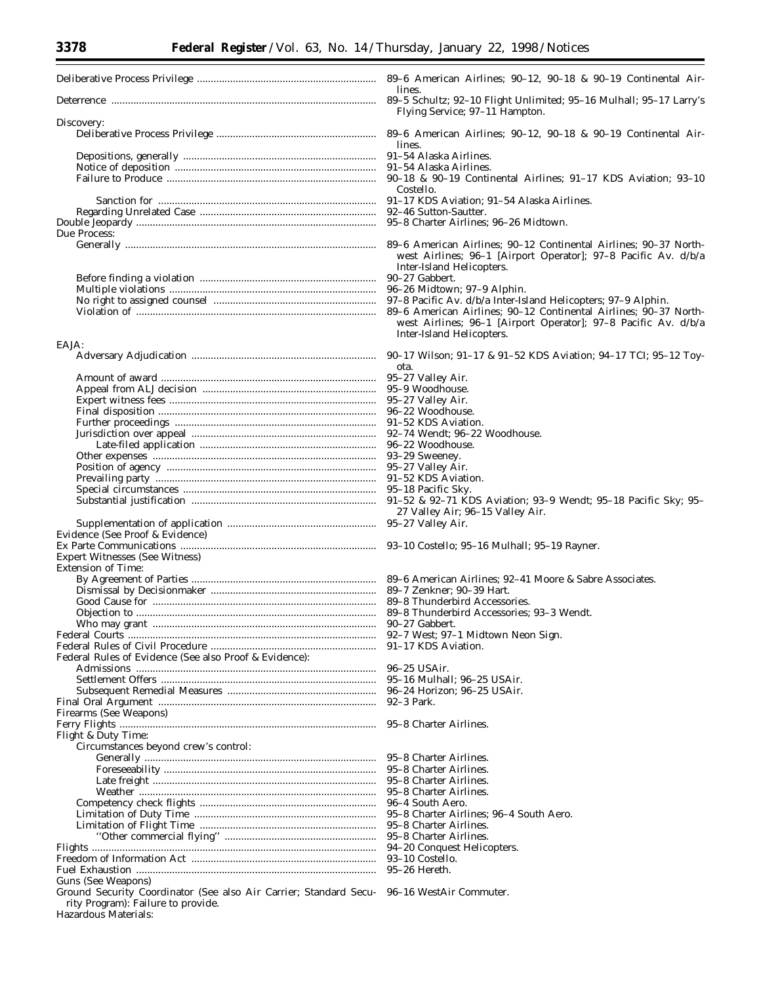| lines.                                                                                      |
|---------------------------------------------------------------------------------------------|
| 89-5 Schultz; 92-10 Flight Unlimited; 95-16 Mulhall; 95-17 Larry's                          |
| Flying Service; 97-11 Hampton.                                                              |
|                                                                                             |
| lines.                                                                                      |
|                                                                                             |
|                                                                                             |
|                                                                                             |
| Costello.                                                                                   |
|                                                                                             |
|                                                                                             |
|                                                                                             |
|                                                                                             |
| west Airlines; 96–1 [Airport Operator]; 97–8 Pacific Av. d/b/a<br>Inter-Island Helicopters. |
|                                                                                             |
|                                                                                             |
|                                                                                             |
|                                                                                             |

#### EAJA:

|                                                                   | <i>ฮ</i> ∪−⊥7 พน |
|-------------------------------------------------------------------|------------------|
|                                                                   | ota.             |
|                                                                   | 95-27 Vall       |
|                                                                   | $95-9$ Woo       |
|                                                                   | 95-27 Vall       |
|                                                                   | 96-22 Woo        |
|                                                                   | 91-52 KDS        |
|                                                                   | 92-74 Wei        |
|                                                                   | 96-22 Woo        |
|                                                                   | $93-29$ Swe      |
|                                                                   | 95-27 Vall       |
|                                                                   | 91-52 KDS        |
|                                                                   | 95-18 Paci       |
|                                                                   | $91 - 52$ & 9    |
|                                                                   | 27 Valle         |
|                                                                   | 95-27 Vall       |
| Evidence (See Proof & Evidence)                                   |                  |
|                                                                   | $93-10$ Cos      |
| <b>Expert Witnesses (See Witness)</b>                             |                  |
| <b>Extension of Time:</b>                                         |                  |
|                                                                   | $89-6$ Amer      |
|                                                                   | 89-7 Zenk        |
|                                                                   | $89-8$ Thur      |
|                                                                   | 89-8 Thur        |
|                                                                   | 90-27 Gab        |
|                                                                   | 92-7 West        |
|                                                                   | 91-17 KDS        |
| Federal Rules of Evidence (See also Proof & Evidence):            |                  |
|                                                                   | $96 - 25$ US/    |
|                                                                   | 95-16 Mul        |
|                                                                   | 96-24 Hor        |
|                                                                   | 92-3 Park.       |
|                                                                   |                  |
| Firearms (See Weapons)                                            |                  |
|                                                                   | 95-8 Chart       |
| Flight & Duty Time:                                               |                  |
| Circumstances beyond crew's control:                              |                  |
|                                                                   | 95–8 Chart       |
|                                                                   | 95-8 Chart       |
|                                                                   | 95-8 Chart       |
|                                                                   | 95-8 Chart       |
|                                                                   | 96-4 Soutl       |
|                                                                   | 95-8 Chart       |
|                                                                   | 95-8 Chart       |
|                                                                   | 95-8 Chart       |
|                                                                   | 94-20 Con        |
|                                                                   | 93-10 Cos        |
|                                                                   | 95-26 Her        |
| Guns (See Weapons)                                                |                  |
| Ground Security Coordinator (See also Air Carrier; Standard Secu- | 96-16 Wes        |
| rity Program): Failure to provide.                                |                  |
| Hazardous Materials:                                              |                  |

|        |  |  |  | 89–6 American Airlines: $90-12$ . $90-18$ & $90-19$ Continental Air- |  |
|--------|--|--|--|----------------------------------------------------------------------|--|
| lines. |  |  |  |                                                                      |  |
|        |  |  |  | 89–5 Schultz: 92–10 Flight Unlimited: 95–16 Mulhall: 95–17 Larry's   |  |

- Flying Service; 97–11 Hampton.
- 89-6 American Airlines; 90-12, 90-18 & 90-19 Continental Airlines.
- 91-54 Alaska Airlines.
- 91-54 Alaska Airlines.
- 90-18 & 90-19 Continental Airlines; 91-17 KDS Aviation; 93-10 Costello.
- 91-17 KDS Aviation; 91-54 Alaska Airlines.
- 92-46 Sutton-Sautter.
- 95-8 Charter Airlines; 96-26 Midtown.
- 89-6 American Airlines; 90-12 Continental Airlines; 90-37 Northwest Airlines; 96–1 [Airport Operator]; 97–8 Pacific Av. d/b/a Inter-Island Helicopters.
- 90-27 Gabbert.

Inter-Island Helicopters.

- 
- 97-8 Pacific Av. d/b/a Inter-Island Helicopters; 97-9 Alphin. Violation of ....................................................................................... 89–6 American Airlines; 90–12 Continental Airlines; 90–37 Northwest Airlines; 96–1 [Airport Operator]; 97–8 Pacific Av. d/b/a
	- Adversary Adjudication ................................................................... 90–17 Wilson; 91–17 & 91–52 KDS Aviation; 94–17 TCI; 95–12 Toy
		- ota.
		- 5-27 Valley Air. 5-9 Woodhouse.
		- 5-27 Valley Air.
		- $6-22$  Woodhouse.
		- 1-52 KDS Aviation.
		- 2-74 Wendt: 96-22 Woodhouse.
		- 6-22 Woodhouse.
		- 3-29 Sweeney.
		- 5–27 Valley Air.
		- 1-52 KDS Aviation.
		- 5-18 Pacific Sky.
		- 1-52 & 92-71 KDS Aviation; 93-9 Wendt; 95-18 Pacific Sky; 95-27 Valley Air; 96–15 Valley Air.

5-27 Valley Air.

3-10 Costello; 95-16 Mulhall; 95-19 Rayner.

9-6 American Airlines; 92-41 Moore & Sabre Associates. 9-7 Zenkner: 90-39 Hart. 9-8 Thunderbird Accessories. 9-8 Thunderbird Accessories; 93-3 Wendt. 0-27 Gabbert. 2-7 West; 97-1 Midtown Neon Sign. 1-17 KDS Aviation.

6-25 USAir. 5-16 Mulhall: 96-25 USAir. 6-24 Horizon; 96-25 USAir.<br>2-3 Park. 5-8 Charter Airlines. 5-8 Charter Airlines. 5-8 Charter Airlines. 5-8 Charter Airlines. 5-8 Charter Airlines. 6-4 South Aero. 5-8 Charter Airlines; 96-4 South Aero. 5-8 Charter Airlines.

- 5-8 Charter Airlines.
- 4-20 Conquest Helicopters.
- 3-10 Costello.
- 5-26 Hereth.

96–16 WestAir Commuter.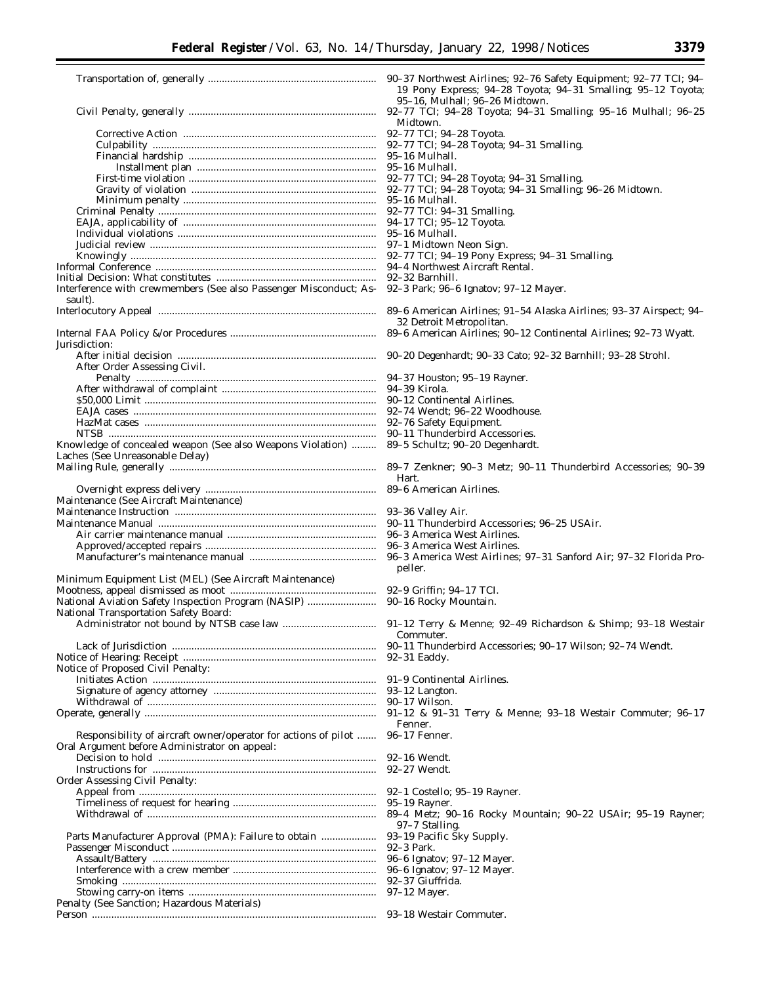|                                                                   | 90–37 Northwest<br>19 Pony Expre       |
|-------------------------------------------------------------------|----------------------------------------|
|                                                                   | 95-16, Mulhall                         |
|                                                                   | 92-77 TCI: 94-2                        |
|                                                                   | Midtown.                               |
|                                                                   | 92-77 TCI; 94-28                       |
|                                                                   | 92-77 TCI; 94-28                       |
|                                                                   | 95-16 Mulhall.                         |
|                                                                   | 95–16 Mulhall.<br>92-77 TCI; 94-28     |
|                                                                   | 92-77 TCI; 94-28                       |
|                                                                   | 95–16 Mulhall.                         |
|                                                                   | 92-77 TCI: 94-31                       |
|                                                                   | 94–17 TCI; 95–12                       |
|                                                                   | 95–16 Mulhall.                         |
|                                                                   | 97-1 Midtown Ne                        |
|                                                                   | 92-77 TCI; 94-19                       |
|                                                                   | 94–4 Northwest A                       |
|                                                                   | 92–32 Barnhill.                        |
| Interference with crewmembers (See also Passenger Misconduct; As- | 92-3 Park; 96-6 I                      |
| sault).                                                           |                                        |
|                                                                   | 89–6 American A                        |
|                                                                   | 32 Detroit Metr                        |
|                                                                   | 89-6 American A                        |
| Jurisdiction:                                                     |                                        |
| After Order Assessing Civil.                                      | 90-20 Degenhard                        |
|                                                                   | 94-37 Houston; 9                       |
|                                                                   | 94-39 Kirola.                          |
|                                                                   | 90-12 Continenta                       |
|                                                                   | 92–74 Wendt; 96-                       |
|                                                                   | 92-76 Safety Equ                       |
|                                                                   | 90–11 Thunderbii                       |
| Knowledge of concealed weapon (See also Weapons Violation)        | 89-5 Schultz; 90-                      |
| Laches (See Unreasonable Delay)                                   |                                        |
|                                                                   | 89-7 Zenkner; 90                       |
|                                                                   | Hart.                                  |
|                                                                   | 89–6 American A                        |
| Maintenance (See Aircraft Maintenance)                            |                                        |
|                                                                   | 93-36 Valley Air.                      |
|                                                                   | 90–11 Thunderbii                       |
|                                                                   | 96-3 America We                        |
|                                                                   | 96-3 America We                        |
|                                                                   | 96-3 America We                        |
| Minimum Equipment List (MEL) (See Aircraft Maintenance)           | peller.                                |
|                                                                   | <b>92–9 Griffin</b> ; <b>94–</b> 1     |
| National Aviation Safety Inspection Program (NASIP)               | 90-16 Rocky Mou                        |
| National Transportation Safety Board:                             |                                        |
|                                                                   |                                        |
|                                                                   | Commuter.                              |
|                                                                   | 90-11 Thunderbii                       |
|                                                                   | 92-31 Eaddy.                           |
| Notice of Proposed Civil Penalty:                                 |                                        |
|                                                                   | 91-9 Continental                       |
|                                                                   | 93-12 Langton.                         |
|                                                                   | 90–17 Wilson.                          |
|                                                                   | $91-12$ & $91-31$                      |
|                                                                   | Fenner.                                |
| Responsibility of aircraft owner/operator for actions of pilot    | 96-17 Fenner.                          |
| Oral Argument before Administrator on appeal:                     |                                        |
|                                                                   | 92–16 Wendt.<br>92-27 Wendt.           |
| Order Assessing Civil Penalty:                                    |                                        |
|                                                                   | 92–1 Costello; 95                      |
|                                                                   | 95–19 Rayner.                          |
|                                                                   | 89–4 Metz; 90–1                        |
|                                                                   | 97–7 Stalling.                         |
| Parts Manufacturer Approval (PMA): Failure to obtain              | 93-19 Pacific Sky                      |
|                                                                   | 92-3 Park.                             |
|                                                                   |                                        |
|                                                                   |                                        |
|                                                                   | 96-6 Ignatov; 97-<br>96-6 Ignatov; 97- |
|                                                                   | 92-37 Giuffrida.                       |
| Penalty (See Sanction; Hazardous Materials)                       | 97-12 Mayer.                           |

rthwest Airlines; 92–76 Safety Equipment; 92–77 TCI; 94– y Express; 94–28 Toyota; 94–31 Smalling; 95–12 Toyota; Mulhall; 96-26 Midtown.  $CI; 94-28$  Toyota; 94-31 Smalling; 95-16 Mulhall; 96-25 vn. I; 94-28 Toyota. CI; 94–28 Toyota; 94–31 Smalling.<br>ulhall. I; 94-28 Toyota; 94-31 Smalling. II; 94–28 Toyota; 94–31 Smalling; 96–26 Midtown.<br>ulhall. CI: 94-31 Smalling. I; 95-12 Toyota. ltown Neon Sign.  $K: 94-19$  Pony Express; 94–31 Smalling. thwest Aircraft Rental.<br>.rnhill. k; 96–6 Ignatov; 97–12 Mayer. erican Airlines; 91-54 Alaska Airlines; 93-37 Airspect; 94oit Metropolitan. erican Airlines; 90–12 Continental Airlines; 92–73 Wyatt. genhardt; 90-33 Cato; 92-32 Barnhill; 93-28 Strohl. vuston; 95–19 Rayner.<br>rola. ntinental Airlines. endt; 96-22 Woodhouse. fety Equipment. underbird Accessories. ultz; 90-20 Degenhardt. kner; 90-3 Metz; 90-11 Thunderbird Accessories; 90-39 erican Airlines. underbird Accessories; 96–25 USAir. erica West Airlines. erica West Airlines. erica West Airlines; 97-31 Sanford Air; 97-32 Florida Pro $fin: 94-17$  TCI. ocky Mountain. erry & Menne; 92–49 Richardson & Shimp; 93–18 Westair uter. underbird Accessories; 90–17 Wilson; 92–74 Wendt. ntinental Airlines<mark>.</mark><br>.ngton. 91-31 Terry & Menne; 93-18 Westair Commuter; 96-17 Fenner. tello; 95–19 Rayner<mark>.</mark><br>.yner. .<br>tz; 90–16 Rocky Mountain; 90–22 USAir; 95–19 Rayner; talling. icific Šky Supply. atov; 97–12 Mayer. ıtov; 97–12 Mayer.<br>uffrida. Person ....................................................................................................... 93–18 Westair Commuter.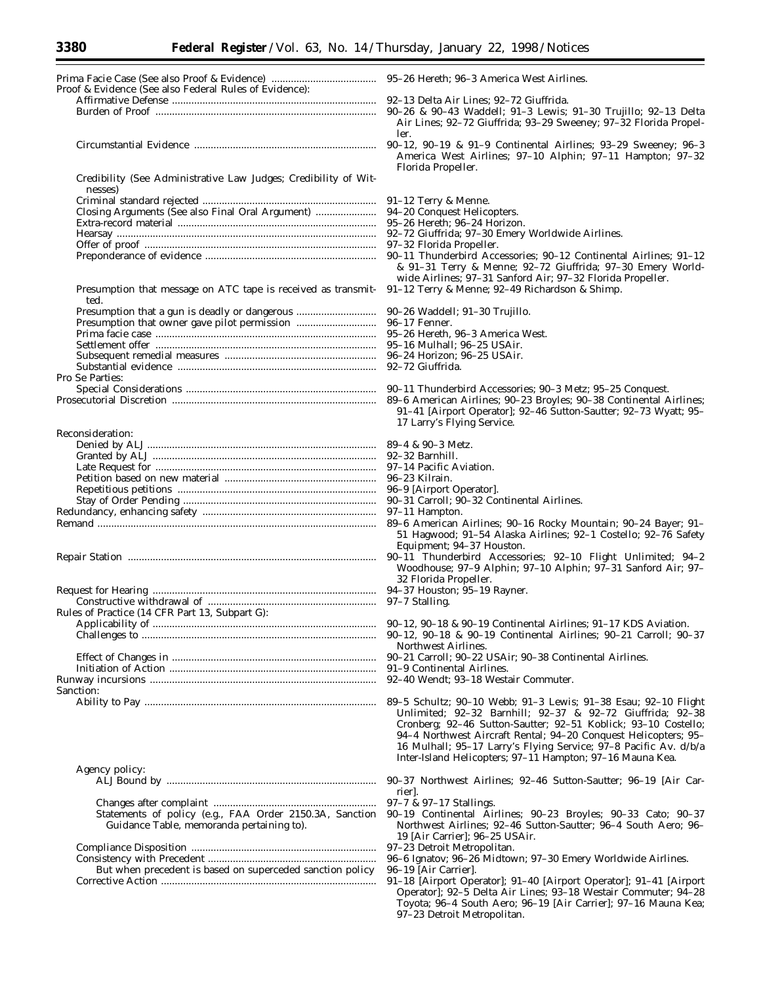| Proof & Evidence (See also Federal Rules of Evidence):          |                                                                                      |
|-----------------------------------------------------------------|--------------------------------------------------------------------------------------|
|                                                                 | 92–13 Delta Air Lines; 92–72 Giuffrida.                                              |
|                                                                 | 90-26 & 90-43 Waddell; 91-3 Lewis; 91-                                               |
|                                                                 | Air Lines; 92-72 Giuffrida; 93-29 Sween                                              |
|                                                                 | ler.                                                                                 |
|                                                                 | 90-12, 90-19 & 91-9 Continental Airline                                              |
|                                                                 | America West Airlines; 97-10 Alphin;                                                 |
|                                                                 | Florida Propeller.                                                                   |
| Credibility (See Administrative Law Judges; Credibility of Wit- |                                                                                      |
| nesses)                                                         |                                                                                      |
| Closing Arguments (See also Final Oral Argument)                | 91-12 Terry & Menne.<br>94-20 Conquest Helicopters.                                  |
|                                                                 | 95-26 Hereth; 96-24 Horizon.                                                         |
|                                                                 | 92-72 Giuffrida; 97-30 Emery Worldwide A                                             |
|                                                                 | 97-32 Florida Propeller.                                                             |
|                                                                 | 90-11 Thunderbird Accessories; 90-12 Co.                                             |
|                                                                 | & 91-31 Terry & Menne; 92-72 Giuffrie                                                |
|                                                                 | wide Airlines; 97-31 Sanford Air; 97-32                                              |
| Presumption that message on ATC tape is received as transmit-   | 91-12 Terry & Menne; 92-49 Richardson &                                              |
| ted.                                                            |                                                                                      |
| Presumption that owner gave pilot permission                    | 90–26 Waddell; 91–30 Trujillo.<br>96–17 Fenner.                                      |
|                                                                 | 95-26 Hereth, 96-3 America West.                                                     |
|                                                                 | 95-16 Mulhall; 96-25 USAir.                                                          |
|                                                                 | 96–24 Horizon; 96–25 USAir.                                                          |
|                                                                 | 92-72 Giuffrida.                                                                     |
| Pro Se Parties:                                                 |                                                                                      |
|                                                                 | 90-11 Thunderbird Accessories; 90-3 Metz                                             |
|                                                                 | 89-6 American Airlines; 90-23 Broyles; 90                                            |
|                                                                 | 91-41 [Airport Operator]; 92-46 Sutton-S                                             |
|                                                                 | 17 Larry's Flying Service.                                                           |
| Reconsideration:                                                | 89-4 & 90-3 Metz.                                                                    |
|                                                                 | 92–32 Barnhill.                                                                      |
|                                                                 | 97-14 Pacific Aviation.                                                              |
|                                                                 | 96-23 Kilrain.                                                                       |
|                                                                 | 96-9 [Airport Operator].                                                             |
|                                                                 | 90-31 Carroll; 90-32 Continental Airlines.                                           |
|                                                                 | 97–11 Hampton.                                                                       |
|                                                                 | 89-6 American Airlines; 90-16 Rocky Mor                                              |
|                                                                 | 51 Hagwood; 91-54 Alaska Airlines; 92-                                               |
|                                                                 | Equipment; 94-37 Houston.<br>90-11 Thunderbird Accessories; 92-10                    |
|                                                                 | Woodhouse; 97-9 Alphin; 97-10 Alphin                                                 |
|                                                                 | 32 Florida Propeller.                                                                |
|                                                                 | 94-37 Houston; 95-19 Rayner.                                                         |
|                                                                 | 97-7 Stalling.                                                                       |
| Rules of Practice (14 CFR Part 13, Subpart G):                  |                                                                                      |
|                                                                 |                                                                                      |
|                                                                 | 90-12, 90-18 & 90-19 Continental Airlin<br>Northwest Airlines.                       |
|                                                                 | 90-21 Carroll; 90-22 USAir; 90-38 Contine                                            |
|                                                                 | 91-9 Continental Airlines.                                                           |
|                                                                 | 92-40 Wendt; 93-18 Westair Commuter.                                                 |
| Sanction:                                                       |                                                                                      |
|                                                                 | 89–5 Schultz; 90–10 Webb; 91–3 Lewis; 9                                              |
|                                                                 | Unlimited; 92-32 Barnhill; 92-37 &                                                   |
|                                                                 | Cronberg; 92-46 Sutton-Sautter; 92-51                                                |
|                                                                 | 94-4 Northwest Aircraft Rental; 94-20 C                                              |
|                                                                 | 16 Mulhall; 95-17 Larry's Flying Service<br>Inter-Island Helicopters; 97-11 Hampton; |
| Agency policy:                                                  |                                                                                      |
|                                                                 | 90-37 Northwest Airlines; 92-46 Sutton-                                              |
|                                                                 | rier.                                                                                |
|                                                                 | 97-7 & 97-17 Stallings.                                                              |
| Statements of policy (e.g., FAA Order 2150.3A, Sanction         | 90-19 Continental Airlines; 90-23 Broy                                               |
| Guidance Table, memoranda pertaining to).                       | Northwest Airlines; 92-46 Sutton-Sautte                                              |
|                                                                 | 19 [Air Carrier]; 96-25 USAir.                                                       |
|                                                                 | 97-23 Detroit Metropolitan.                                                          |
|                                                                 | 96-6 Ignatov; 96-26 Midtown; 97-30 Emery                                             |
| But when precedent is based on superceded sanction policy       | 96–19 [Air Carrier].<br>91-18 [Airport Operator]; 91-40 [Airport 0                   |
|                                                                 | Operator]; 92-5 Delta Air Lines; 93-18 V                                             |
|                                                                 | Toyota; 96-4 South Aero; 96-19 [Air Ca                                               |
|                                                                 |                                                                                      |

| 95–26 Hereth; 96–3 America West Airlines. |  |  |  |  |  |  |  |
|-------------------------------------------|--|--|--|--|--|--|--|
|-------------------------------------------|--|--|--|--|--|--|--|

- r Lines; 92–72 Giuffrida.
- Waddell; 91-3 Lewis; 91-30 Trujillo; 92-13 Delta –72 Giuffrida; 93–29 Sweeney; 97–32 Florida Propel-
- & 91-9 Continental Airlines; 93-29 Sweeney; 96-3 st Airlines; 97-10 Alphin; 97-11 Hampton; 97-32 eller.

|  |  |  |  | 91–12 Terry & Menne. |
|--|--|--|--|----------------------|
|--|--|--|--|----------------------|

- t Helicopters.
- 96-24 Horizon.
- a; 97–30 Emery Worldwide Airlines.<br>Propeller.
- 
- bird Accessories; 90-12 Continental Airlines; 91-12 ry & Menne; 92-72 Giuffrida; 97-30 Emery Worlds; 97-31 Sanford Air; 97-32 Florida Propeller.
- Menne; 92–49 Richardson & Shimp.
- 91-30 Trujillo.
- 
- 96-3 America West.
- 96-25 USAir.
- 96–25 USAir.
- 
- bird Accessories; 90–3 Metz; 95–25 Conquest.
- Airlines; 90–23 Broyles; 90–38 Continental Airlines; rt Operator]; 92–46 Šutton-Sautter; 92–73 Wyatt; 95– ving Service.
- 
- 
- 
- 
- 90-32 Continental Airlines.
- 
- Airlines; 90-16 Rocky Mountain; 90-24 Bayer; 91-91-54 Alaska Airlines; 92-1 Costello; 92-76 Safety 94-37 Houston.
- rbird Accessories; 92-10 Flight Unlimited; 94-2 97-9 Alphin; 97-10 Alphin; 97-31 Sanford Air; 97opeller.
- $95-19$  Rayner.
- 90-19 Continental Airlines; 91-17 KDS Aviation.
- & 90-19 Continental Airlines; 90-21 Carroll; 90-37 irlines.
- Effect of Changes in .......................................................................... 90–21 Carroll; 90–22 USAir; 90–38 Continental Airlines.
- 
- Runway incursions .................................................................................. 92–40 Wendt; 93–18 Westair Commuter.
- 90-10 Webb; 91-3 Lewis; 91-38 Esau; 92-10 Flight Unlimited; 92–32 Barnhill; 92–37 & 92–72 Giuffrida; 92–38 -46 Sutton-Sautter; 92-51 Koblick; 93-10 Costello; est Aircraft Rental; 94–20 Conquest Helicopters; 95– 95–17 Larry's Flying Service; 97–8 Pacific Av. d/b/a Ielicopters; 97–11 Hampton; 97–16 Mauna Kea.
- est Airlines; 92-46 Sutton-Sautter; 96-19 [Air Car-
- 
- ntal Airlines; 90–23 Broyles; 90–33 Cato; 90–37 irlines; 92–46 Sutton-Sautter; 96–4 South Aero; 96– er]; 96–25 USAir.
- Aetropolitan.
- Consistency with Precedent ............................................................. 96–6 Ignatov; 96–26 Midtown; 97–30 Emery Worldwide Airlines.
- 
- Operator]; 91-40 [Airport Operator]; 91-41 [Airport –5 Delta Air Lines; 93–18 Westair Commuter; 94–28 South Aero; 96-19 [Air Carrier]; 97-16 Mauna Kea; 97–23 Detroit Metropolitan.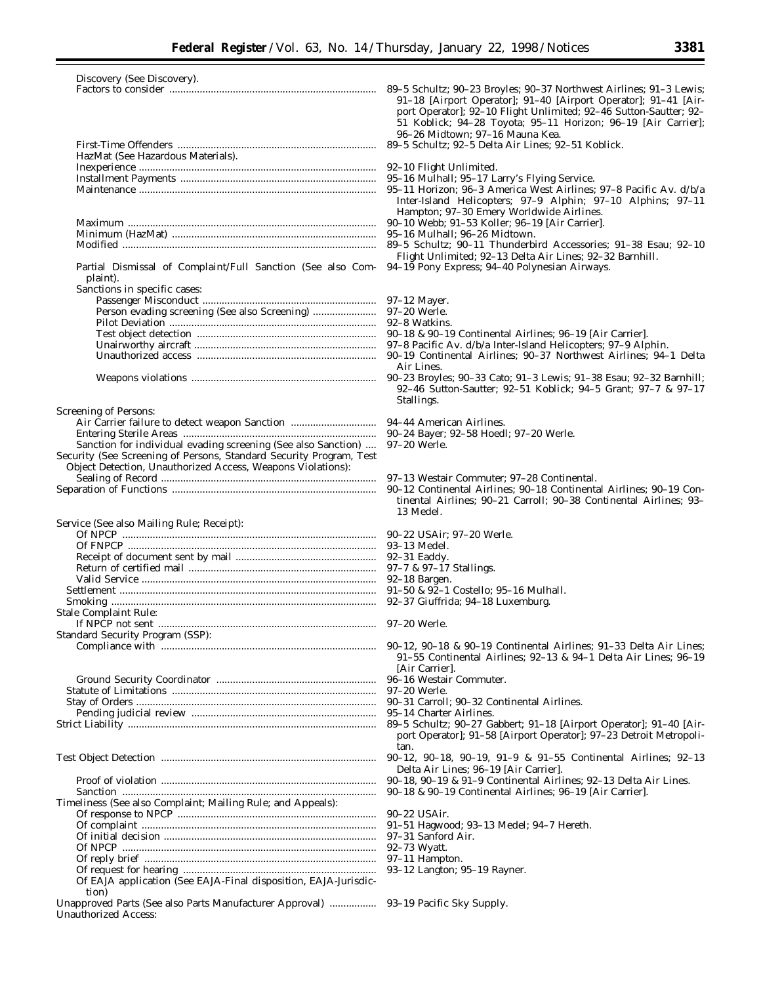| Discovery (See Discovery).                                                                                                                                                                                                    |                                                                                                                                                                                                                                                                                                                                                                      |
|-------------------------------------------------------------------------------------------------------------------------------------------------------------------------------------------------------------------------------|----------------------------------------------------------------------------------------------------------------------------------------------------------------------------------------------------------------------------------------------------------------------------------------------------------------------------------------------------------------------|
|                                                                                                                                                                                                                               | 89-5 Schultz; 90-23 Broyles; 90-37 Northwest Airlines; 91-3 Lewis;<br>91–18 [Airport Operator]; 91–40 [Airport Operator]; 91–41 [Air-<br>port Operator]; 92-10 Flight Unlimited; 92-46 Sutton-Sautter; 92-<br>51 Koblick; 94-28 Toyota; 95-11 Horizon; 96-19 [Air Carrier];<br>96-26 Midtown; 97-16 Mauna Kea.<br>89-5 Schultz; 92-5 Delta Air Lines; 92-51 Koblick. |
| HazMat (See Hazardous Materials).                                                                                                                                                                                             |                                                                                                                                                                                                                                                                                                                                                                      |
|                                                                                                                                                                                                                               | 92-10 Flight Unlimited.                                                                                                                                                                                                                                                                                                                                              |
|                                                                                                                                                                                                                               | 95-16 Mulhall; 95-17 Larry's Flying Service.                                                                                                                                                                                                                                                                                                                         |
|                                                                                                                                                                                                                               | 95-11 Horizon; 96-3 America West Airlines; 97-8 Pacific Av. d/b/a<br>Inter-Island Helicopters; 97-9 Alphin; 97-10 Alphins; 97-11<br>Hampton; 97-30 Emery Worldwide Airlines.                                                                                                                                                                                         |
|                                                                                                                                                                                                                               | 90-10 Webb; 91-53 Koller; 96-19 [Air Carrier].                                                                                                                                                                                                                                                                                                                       |
|                                                                                                                                                                                                                               | 95–16 Mulhall; 96–26 Midtown.                                                                                                                                                                                                                                                                                                                                        |
| Partial Dismissal of Complaint/Full Sanction (See also Com-                                                                                                                                                                   | 89-5 Schultz; 90-11 Thunderbird Accessories; 91-38 Esau; 92-10<br>Flight Unlimited; 92-13 Delta Air Lines; 92-32 Barnhill.<br>94-19 Pony Express; 94-40 Polynesian Airways.                                                                                                                                                                                          |
| plaint).                                                                                                                                                                                                                      |                                                                                                                                                                                                                                                                                                                                                                      |
| Sanctions in specific cases:                                                                                                                                                                                                  |                                                                                                                                                                                                                                                                                                                                                                      |
|                                                                                                                                                                                                                               | 97–12 Mayer.                                                                                                                                                                                                                                                                                                                                                         |
|                                                                                                                                                                                                                               | 97–20 Werle.                                                                                                                                                                                                                                                                                                                                                         |
|                                                                                                                                                                                                                               |                                                                                                                                                                                                                                                                                                                                                                      |
|                                                                                                                                                                                                                               |                                                                                                                                                                                                                                                                                                                                                                      |
|                                                                                                                                                                                                                               |                                                                                                                                                                                                                                                                                                                                                                      |
|                                                                                                                                                                                                                               | Air Lines.                                                                                                                                                                                                                                                                                                                                                           |
|                                                                                                                                                                                                                               | 90-23 Broyles; 90-33 Cato; 91-3 Lewis; 91-38 Esau; 92-32 Barnhill;<br>92-46 Sutton-Sautter; 92-51 Koblick; 94-5 Grant; 97-7 & 97-17<br>Stallings.                                                                                                                                                                                                                    |
| <b>Screening of Persons:</b>                                                                                                                                                                                                  |                                                                                                                                                                                                                                                                                                                                                                      |
|                                                                                                                                                                                                                               |                                                                                                                                                                                                                                                                                                                                                                      |
|                                                                                                                                                                                                                               |                                                                                                                                                                                                                                                                                                                                                                      |
| Sanction for individual evading screening (See also Sanction)                                                                                                                                                                 | 97-20 Werle.                                                                                                                                                                                                                                                                                                                                                         |
| Security (See Screening of Persons, Standard Security Program, Test                                                                                                                                                           |                                                                                                                                                                                                                                                                                                                                                                      |
| Object Detection, Unauthorized Access, Weapons Violations):                                                                                                                                                                   |                                                                                                                                                                                                                                                                                                                                                                      |
|                                                                                                                                                                                                                               | 97–13 Westair Commuter; 97–28 Continental.                                                                                                                                                                                                                                                                                                                           |
|                                                                                                                                                                                                                               | 90-12 Continental Airlines; 90-18 Continental Airlines; 90-19 Con-<br>tinental Airlines; 90-21 Carroll; 90-38 Continental Airlines; 93-<br>13 Medel.                                                                                                                                                                                                                 |
| Service (See also Mailing Rule; Receipt):                                                                                                                                                                                     |                                                                                                                                                                                                                                                                                                                                                                      |
|                                                                                                                                                                                                                               |                                                                                                                                                                                                                                                                                                                                                                      |
|                                                                                                                                                                                                                               |                                                                                                                                                                                                                                                                                                                                                                      |
|                                                                                                                                                                                                                               |                                                                                                                                                                                                                                                                                                                                                                      |
|                                                                                                                                                                                                                               |                                                                                                                                                                                                                                                                                                                                                                      |
|                                                                                                                                                                                                                               |                                                                                                                                                                                                                                                                                                                                                                      |
|                                                                                                                                                                                                                               |                                                                                                                                                                                                                                                                                                                                                                      |
| Stale Complaint Rule:                                                                                                                                                                                                         |                                                                                                                                                                                                                                                                                                                                                                      |
|                                                                                                                                                                                                                               |                                                                                                                                                                                                                                                                                                                                                                      |
| <b>Standard Security Program (SSP):</b>                                                                                                                                                                                       |                                                                                                                                                                                                                                                                                                                                                                      |
| Compliance with Manual Communication and Compliance with Manual Communication and Communication and Communication and Communication and Communication and Communication and Communication and Communication and Communication | $90-12$ , $90-18$ & $90-19$ Continental Airlines; $91-33$ Delta Air Lines;<br>91–55 Continental Airlines; 92–13 & 94–1 Delta Air Lines; 96–19                                                                                                                                                                                                                        |
|                                                                                                                                                                                                                               | Air Carrier.                                                                                                                                                                                                                                                                                                                                                         |
|                                                                                                                                                                                                                               | 96–16 Westair Commuter.                                                                                                                                                                                                                                                                                                                                              |
|                                                                                                                                                                                                                               | 97–20 Werle.                                                                                                                                                                                                                                                                                                                                                         |
|                                                                                                                                                                                                                               | 90-31 Carroll: 90-32 Continental Airlines.                                                                                                                                                                                                                                                                                                                           |
|                                                                                                                                                                                                                               |                                                                                                                                                                                                                                                                                                                                                                      |
|                                                                                                                                                                                                                               | 89-5 Schultz; 90-27 Gabbert; 91-18 [Airport Operator]; 91-40 [Air-<br>port Operator]; 91-58 [Airport Operator]; 97-23 Detroit Metropoli-<br>tan.                                                                                                                                                                                                                     |
|                                                                                                                                                                                                                               | 90-12, 90-18, 90-19, 91-9 & 91-55 Continental Airlines; 92-13<br>Delta Air Lines; 96-19 [Air Carrier].                                                                                                                                                                                                                                                               |
|                                                                                                                                                                                                                               | $90-18$ , $90-19$ & $91-9$ Continental Airlines; $92-13$ Delta Air Lines.                                                                                                                                                                                                                                                                                            |
|                                                                                                                                                                                                                               | 90-18 & 90-19 Continental Airlines; 96-19 [Air Carrier].                                                                                                                                                                                                                                                                                                             |
| Timeliness (See also Complaint; Mailing Rule; and Appeals):                                                                                                                                                                   |                                                                                                                                                                                                                                                                                                                                                                      |
|                                                                                                                                                                                                                               | 90-22 USAir.                                                                                                                                                                                                                                                                                                                                                         |
|                                                                                                                                                                                                                               | 91–51 Hagwood; 93–13 Medel; 94–7 Hereth.                                                                                                                                                                                                                                                                                                                             |
|                                                                                                                                                                                                                               | 97–31 Sanford Air.                                                                                                                                                                                                                                                                                                                                                   |
|                                                                                                                                                                                                                               | 92-73 Wyatt.                                                                                                                                                                                                                                                                                                                                                         |
|                                                                                                                                                                                                                               | 97-11 Hampton.                                                                                                                                                                                                                                                                                                                                                       |
|                                                                                                                                                                                                                               | 93-12 Langton; 95-19 Rayner.                                                                                                                                                                                                                                                                                                                                         |
| Of EAJA application (See EAJA-Final disposition, EAJA-Jurisdic-<br>tion)                                                                                                                                                      |                                                                                                                                                                                                                                                                                                                                                                      |
| Unapproved Parts (See also Parts Manufacturer Approval)  93–19 Pacific Sky Supply.<br><b>Unauthorized Access:</b>                                                                                                             |                                                                                                                                                                                                                                                                                                                                                                      |
|                                                                                                                                                                                                                               |                                                                                                                                                                                                                                                                                                                                                                      |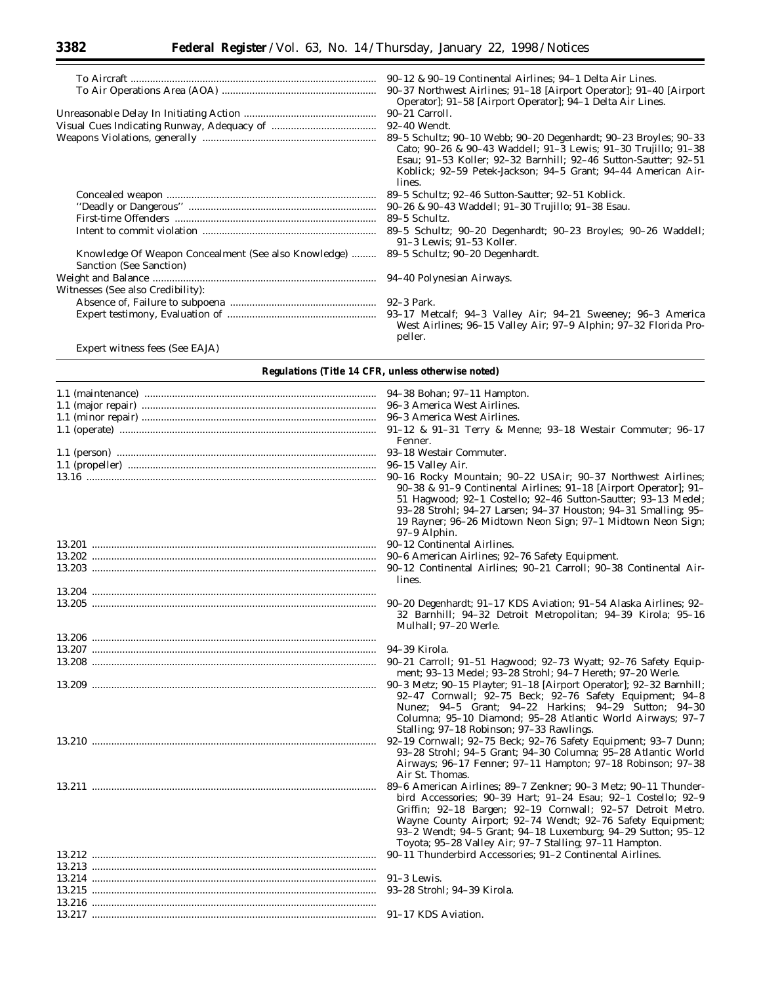|                                                                                 | 90–12 & 90–19 Continental Airlines; 94–1 Delta Air Lines.                                                                                                                                                                                                                        |
|---------------------------------------------------------------------------------|----------------------------------------------------------------------------------------------------------------------------------------------------------------------------------------------------------------------------------------------------------------------------------|
|                                                                                 | 90–37 Northwest Airlines; 91–18 [Airport Operator]; 91–40 [Airport]<br>Operator]; 91-58 [Airport Operator]; 94-1 Delta Air Lines.                                                                                                                                                |
|                                                                                 | 90–21 Carroll.                                                                                                                                                                                                                                                                   |
|                                                                                 | 92-40 Wendt.                                                                                                                                                                                                                                                                     |
|                                                                                 | 89–5 Schultz; 90–10 Webb; 90–20 Degenhardt; 90–23 Broyles; 90–33<br>Cato; 90-26 & 90-43 Waddell; 91-3 Lewis; 91-30 Trujillo; 91-38<br>Esau; 91–53 Koller; 92–32 Barnhill; 92–46 Sutton-Sautter; 92–51<br>Koblick; 92–59 Petek-Jackson; 94–5 Grant; 94–44 American Air-<br>lines. |
|                                                                                 | 89–5 Schultz; 92–46 Sutton-Sautter; 92–51 Koblick.                                                                                                                                                                                                                               |
|                                                                                 | 90–26 & 90–43 Waddell; 91–30 Trujillo; 91–38 Esau.                                                                                                                                                                                                                               |
|                                                                                 | 89–5 Schultz.                                                                                                                                                                                                                                                                    |
|                                                                                 | 89–5 Schultz; 90–20 Degenhardt; 90–23 Broyles; 90–26 Waddell;<br>91-3 Lewis: 91-53 Koller.                                                                                                                                                                                       |
| Knowledge Of Weapon Concealment (See also Knowledge)<br>Sanction (See Sanction) | 89–5 Schultz; 90–20 Degenhardt.                                                                                                                                                                                                                                                  |
|                                                                                 |                                                                                                                                                                                                                                                                                  |
| Witnesses (See also Credibility):                                               |                                                                                                                                                                                                                                                                                  |
|                                                                                 |                                                                                                                                                                                                                                                                                  |
|                                                                                 | West Airlines; 96-15 Valley Air; 97-9 Alphin; 97-32 Florida Pro-<br>peller.                                                                                                                                                                                                      |

Expert witness fees (See EAJA)

| 91-12 & 91-31 Terry & Menne; 93-18 Westair Commuter; 96-17<br>Fenner.                                                                                                                                                                                                                                                                                                                    |
|------------------------------------------------------------------------------------------------------------------------------------------------------------------------------------------------------------------------------------------------------------------------------------------------------------------------------------------------------------------------------------------|
|                                                                                                                                                                                                                                                                                                                                                                                          |
| 96-15 Valley Air.                                                                                                                                                                                                                                                                                                                                                                        |
| 90-16 Rocky Mountain; 90-22 USAir; 90-37 Northwest Airlines;<br>90–38 & 91–9 Continental Airlines; 91–18 [Airport Operator]; 91–<br>51 Hagwood; 92-1 Costello; 92-46 Sutton-Sautter; 93-13 Medel;<br>93-28 Strohl; 94-27 Larsen; 94-37 Houston; 94-31 Smalling; 95-<br>19 Rayner; 96-26 Midtown Neon Sign; 97-1 Midtown Neon Sign;<br>97-9 Alphin.                                       |
| 90-12 Continental Airlines.                                                                                                                                                                                                                                                                                                                                                              |
| 90-6 American Airlines; 92-76 Safety Equipment.                                                                                                                                                                                                                                                                                                                                          |
| 90-12 Continental Airlines; 90-21 Carroll; 90-38 Continental Air-<br>lines.                                                                                                                                                                                                                                                                                                              |
|                                                                                                                                                                                                                                                                                                                                                                                          |
| 90–20 Degenhardt; 91–17 KDS Aviation; 91–54 Alaska Airlines; 92–<br>32 Barnhill; 94-32 Detroit Metropolitan; 94-39 Kirola; 95-16<br>Mulhall; 97-20 Werle.                                                                                                                                                                                                                                |
|                                                                                                                                                                                                                                                                                                                                                                                          |
|                                                                                                                                                                                                                                                                                                                                                                                          |
| 90-21 Carroll; 91-51 Hagwood; 92-73 Wyatt; 92-76 Safety Equip-<br>ment; 93-13 Medel; 93-28 Strohl; 94-7 Hereth; 97-20 Werle.                                                                                                                                                                                                                                                             |
| 92-47 Cornwall; 92-75 Beck; 92-76 Safety Equipment; 94-8<br>Nunez; 94-5 Grant; 94-22 Harkins; 94-29 Sutton; 94-30<br>Columna; 95-10 Diamond; 95-28 Atlantic World Airways; 97-7<br>Stalling; 97-18 Robinson; 97-33 Rawlings.                                                                                                                                                             |
| 92-19 Cornwall; 92-75 Beck; 92-76 Safety Equipment; 93-7 Dunn;<br>93-28 Strohl; 94-5 Grant; 94-30 Columna; 95-28 Atlantic World<br>Airways; 96-17 Fenner; 97-11 Hampton; 97-18 Robinson; 97-38<br>Air St. Thomas.                                                                                                                                                                        |
| 89-6 American Airlines; 89-7 Zenkner; 90-3 Metz; 90-11 Thunder-<br>bird Accessories; 90-39 Hart; 91-24 Esau; 92-1 Costello; 92-9<br>Griffin; 92-18 Bargen; 92-19 Cornwall; 92-57 Detroit Metro.<br>Wayne County Airport; 92-74 Wendt; 92-76 Safety Equipment;<br>93-2 Wendt; 94-5 Grant; 94-18 Luxemburg; 94-29 Sutton; 95-12<br>Toyota; 95-28 Valley Air; 97-7 Stalling; 97-11 Hampton. |
| 90-11 Thunderbird Accessories; 91-2 Continental Airlines.                                                                                                                                                                                                                                                                                                                                |
|                                                                                                                                                                                                                                                                                                                                                                                          |
| $91-3$ Lewis.                                                                                                                                                                                                                                                                                                                                                                            |
| 93-28 Strohl; 94-39 Kirola.                                                                                                                                                                                                                                                                                                                                                              |
|                                                                                                                                                                                                                                                                                                                                                                                          |
|                                                                                                                                                                                                                                                                                                                                                                                          |

# **Regulations (Title 14 CFR, unless otherwise noted)**

۳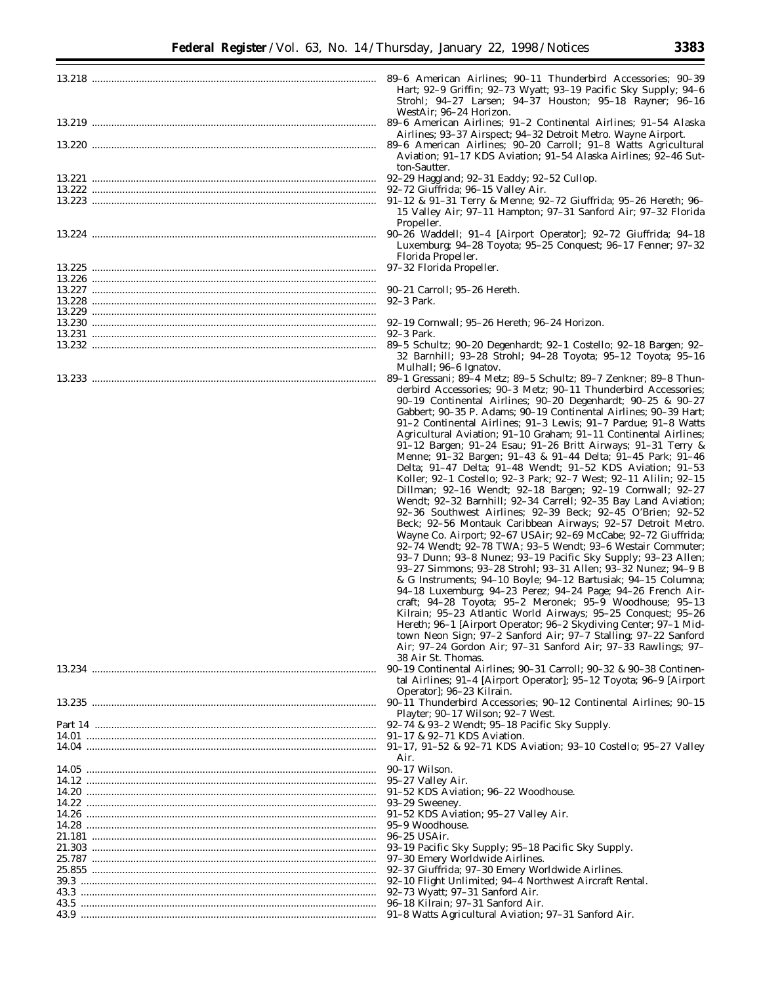| ٠<br>σ | ۰,<br>s<br>1<br>ı<br>n |  |
|--------|------------------------|--|
|        |                        |  |
|        |                        |  |
|        |                        |  |

| Hart; 92-9 Griffin; 92-73 Wyatt; 93-19 Pacific Sky Supply; 94-6<br>Strohl; 94-27 Larsen; 94-37 Houston; 95-18 Rayner; 96-16<br>WestAir; 96–24 Horizon.<br>89–6 American Airlines; 91–2 Continental Airlines; 91–54 Alaska |
|---------------------------------------------------------------------------------------------------------------------------------------------------------------------------------------------------------------------------|
| Airlines; 93-37 Airspect; 94-32 Detroit Metro. Wayne Airport.<br>Aviation; 91-17 KDS Aviation; 91-54 Alaska Airlines; 92-46 Sut-                                                                                          |
| ton-Sautter.                                                                                                                                                                                                              |
|                                                                                                                                                                                                                           |
| 91-12 & 91-31 Terry & Menne; 92-72 Giuffrida; 95-26 Hereth; 96-                                                                                                                                                           |
| 15 Valley Air; 97-11 Hampton; 97-31 Sanford Air; 97-32 Florida                                                                                                                                                            |
| Propeller.                                                                                                                                                                                                                |
| 90-26 Waddell; 91-4 [Airport Operator]; 92-72 Giuffrida; 94-18<br>Luxemburg; 94-28 Toyota; 95-25 Conquest; 96-17 Fenner; 97-32<br>Florida Propeller.                                                                      |
| 97-32 Florida Propeller.                                                                                                                                                                                                  |
|                                                                                                                                                                                                                           |
| 90–21 Carroll; 95–26 Hereth.                                                                                                                                                                                              |
| 92–3 Park.                                                                                                                                                                                                                |
| 92–19 Cornwall; 95–26 Hereth; 96–24 Horizon.                                                                                                                                                                              |
| 92–3 Park.                                                                                                                                                                                                                |
| 89-5 Schultz; 90-20 Degenhardt; 92-1 Costello; 92-18 Bargen; 92-                                                                                                                                                          |
| 32 Barnhill; 93-28 Strohl; 94-28 Toyota; 95-12 Toyota; 95-16<br>Mulhall; 96–6 Ignatov.                                                                                                                                    |
| 89–1 Gressani; 89–4 Metz; 89–5 Schultz; 89–7 Zenkner; 89–8 Thun-                                                                                                                                                          |
| derbird Accessories; 90-3 Metz; 90-11 Thunderbird Accessories;                                                                                                                                                            |
| 90-19 Continental Airlines; 90-20 Degenhardt; 90-25 & 90-27                                                                                                                                                               |
| Gabbert; 90-35 P. Adams; 90-19 Continental Airlines; 90-39 Hart;                                                                                                                                                          |
| 91–2 Continental Airlines; 91–3 Lewis; 91–7 Pardue; 91–8 Watts                                                                                                                                                            |
| Agricultural Aviation; 91-10 Graham; 91-11 Continental Airlines;                                                                                                                                                          |
| 91-12 Bargen; 91-24 Esau; 91-26 Britt Airways; 91-31 Terry &                                                                                                                                                              |
| Menne; 91-32 Bargen; 91-43 & 91-44 Delta; 91-45 Park; 91-46                                                                                                                                                               |
| Delta; 91–47 Delta; 91–48 Wendt; 91–52 KDS Aviation; 91–53                                                                                                                                                                |
| Koller; 92-1 Costello; 92-3 Park; 92-7 West; 92-11 Alilin; 92-15                                                                                                                                                          |
| Dillman; 92-16 Wendt; 92-18 Bargen; 92-19 Cornwall; 92-27<br>Wendt; 92-32 Barnhill; 92-34 Carrell; 92-35 Bay Land Aviation;                                                                                               |
| 92–36 Southwest Airlines; 92–39 Beck; 92–45 O'Brien; 92–52                                                                                                                                                                |
| Beck; 92-56 Montauk Caribbean Airways; 92-57 Detroit Metro.                                                                                                                                                               |
| Wayne Co. Airport; 92-67 USAir; 92-69 McCabe; 92-72 Giuffrida;                                                                                                                                                            |
| 92-74 Wendt; 92-78 TWA; 93-5 Wendt; 93-6 Westair Commuter;                                                                                                                                                                |
| 93-7 Dunn; 93-8 Nunez; 93-19 Pacific Sky Supply; 93-23 Allen;                                                                                                                                                             |
| 93-27 Simmons; 93-28 Strohl; 93-31 Allen; 93-32 Nunez; 94-9 B                                                                                                                                                             |
| & G Instruments; 94-10 Boyle; 94-12 Bartusiak; 94-15 Columna;                                                                                                                                                             |
| 94-18 Luxemburg; 94-23 Perez; 94-24 Page; 94-26 French Air-                                                                                                                                                               |
| craft; 94-28 Toyota; 95-2 Meronek; 95-9 Woodhouse; 95-13                                                                                                                                                                  |
| Kilrain; 95–23 Atlantic World Airways; 95–25 Conquest; 95–26                                                                                                                                                              |
| Hereth; 96-1 [Airport Operator; 96-2 Skydiving Center; 97-1 Mid-                                                                                                                                                          |
| town Neon Sign; 97-2 Sanford Air; 97-7 Stalling; 97-22 Sanford                                                                                                                                                            |
| Air; 97-24 Gordon Air; 97-31 Sanford Air; 97-33 Rawlings; 97-                                                                                                                                                             |
| 38 Air St. Thomas.                                                                                                                                                                                                        |
| 90-19 Continental Airlines; 90-31 Carroll; 90-32 & 90-38 Continen-<br>tal Airlines; 91–4 [Airport Operator]; 95–12 Toyota; 96–9 [Airport                                                                                  |
| Operator, 96–23 Kilrain.                                                                                                                                                                                                  |
| 90-11 Thunderbird Accessories; 90-12 Continental Airlines; 90-15                                                                                                                                                          |
| Playter; 90-17 Wilson; 92-7 West.                                                                                                                                                                                         |
| 92–74 & 93–2 Wendt; 95–18 Pacific Sky Supply.                                                                                                                                                                             |
| 91-17 & 92-71 KDS Aviation.                                                                                                                                                                                               |
| 91-17, 91-52 & 92-71 KDS Aviation; 93-10 Costello; 95-27 Valley                                                                                                                                                           |
| Air.                                                                                                                                                                                                                      |
| 90-17 Wilson.                                                                                                                                                                                                             |
| 95–27 Valley Air.                                                                                                                                                                                                         |
| 91–52 KDS Aviation; 96–22 Woodhouse.                                                                                                                                                                                      |
| 93–29 Sweeney.                                                                                                                                                                                                            |
| 91-52 KDS Aviation; 95-27 Valley Air.                                                                                                                                                                                     |
| 95–9 Woodhouse.                                                                                                                                                                                                           |
| 96–25 USAir.                                                                                                                                                                                                              |
| 93-19 Pacific Sky Supply; 95-18 Pacific Sky Supply.                                                                                                                                                                       |
| 97–30 Emery Worldwide Airlines.                                                                                                                                                                                           |
| 92-37 Giuffrida; 97-30 Emery Worldwide Airlines.<br>92-10 Flight Unlimited; 94-4 Northwest Aircraft Rental.                                                                                                               |
| 92–73 Wyatt; 97–31 Sanford Air.                                                                                                                                                                                           |
| 96–18 Kilrain; 97–31 Sanford Air.                                                                                                                                                                                         |
| 91-8 Watts Agricultural Aviation; 97-31 Sanford Air.                                                                                                                                                                      |
|                                                                                                                                                                                                                           |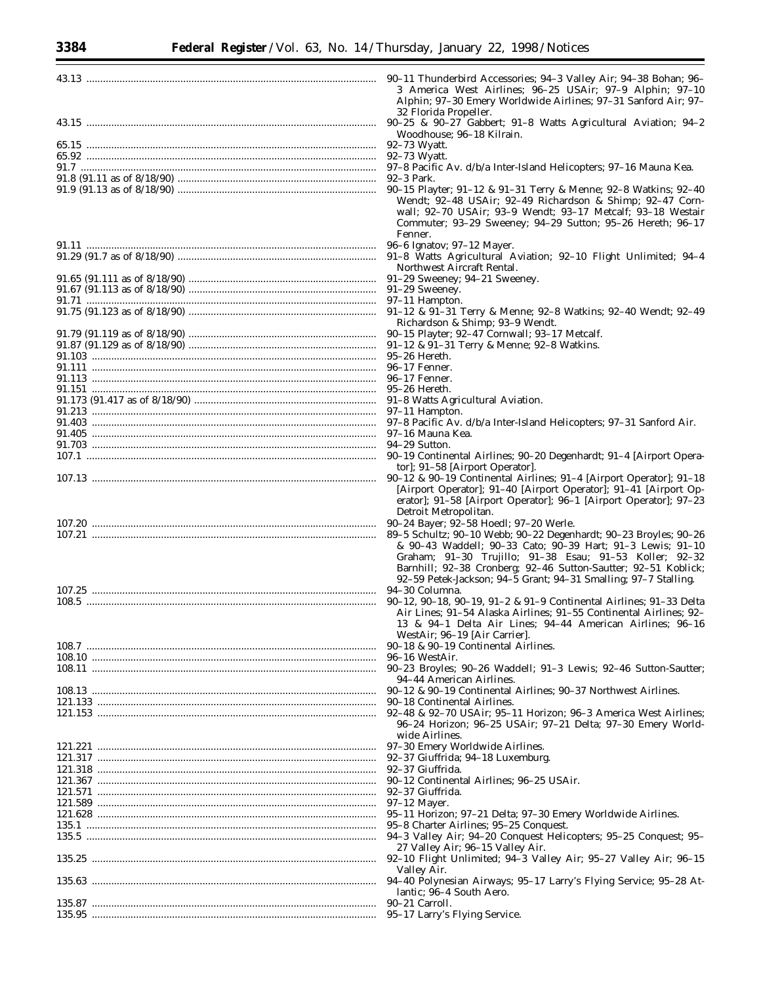| 90-11 Thunderbird Accessories; 94-3 Valley Air; 94-38 Bohan; 96-<br>3 America West Airlines; 96-25 USAir; 97-9 Alphin; 97-10                                                                                                                                         |
|----------------------------------------------------------------------------------------------------------------------------------------------------------------------------------------------------------------------------------------------------------------------|
| Alphin; 97-30 Emery Worldwide Airlines; 97-31 Sanford Air; 97-<br>32 Florida Propeller.                                                                                                                                                                              |
| Woodhouse; 96-18 Kilrain.                                                                                                                                                                                                                                            |
|                                                                                                                                                                                                                                                                      |
| 92-73 Wyatt.                                                                                                                                                                                                                                                         |
| 97-8 Pacific Av. d/b/a Inter-Island Helicopters; 97-16 Mauna Kea.                                                                                                                                                                                                    |
| 92-3 Park.                                                                                                                                                                                                                                                           |
| 90-15 Playter; 91-12 & 91-31 Terry & Menne; 92-8 Watkins; 92-40<br>Wendt; 92-48 USAir; 92-49 Richardson & Shimp; 92-47 Corn-<br>wall; 92-70 USAir; 93-9 Wendt; 93-17 Metcalf; 93-18 Westair<br>Commuter; 93-29 Sweeney; 94-29 Sutton; 95-26 Hereth; 96-17<br>Fenner. |
| 96-6 Ignatov; 97-12 Mayer.                                                                                                                                                                                                                                           |
| 91-8 Watts Agricultural Aviation; 92-10 Flight Unlimited; 94-4<br>Northwest Aircraft Rental.                                                                                                                                                                         |
| 91-29 Sweeney; 94-21 Sweeney.                                                                                                                                                                                                                                        |
| 91-29 Sweeney.                                                                                                                                                                                                                                                       |
| 97–11 Hampton.<br>91-12 & 91-31 Terry & Menne; 92-8 Watkins; 92-40 Wendt; 92-49                                                                                                                                                                                      |
| Richardson & Shimp; 93-9 Wendt.                                                                                                                                                                                                                                      |
| 90-15 Playter; 92-47 Cornwall; 93-17 Metcalf.                                                                                                                                                                                                                        |
| 91-12 & 91-31 Terry & Menne; 92-8 Watkins.                                                                                                                                                                                                                           |
| $95-26$ Hereth.                                                                                                                                                                                                                                                      |
| 96-17 Fenner.                                                                                                                                                                                                                                                        |
| 96–17 Fenner.                                                                                                                                                                                                                                                        |
| 95-26 Hereth.                                                                                                                                                                                                                                                        |
| 91-8 Watts Agricultural Aviation.                                                                                                                                                                                                                                    |
| 97-11 Hampton.                                                                                                                                                                                                                                                       |
| 97-8 Pacific Av. d/b/a Inter-Island Helicopters; 97-31 Sanford Air.                                                                                                                                                                                                  |
| 97-16 Mauna Kea.<br>94-29 Sutton.                                                                                                                                                                                                                                    |
| 90-19 Continental Airlines; 90-20 Degenhardt; 91-4 [Airport Opera-                                                                                                                                                                                                   |
| tor]; 91–58 [Airport Operator].                                                                                                                                                                                                                                      |
| 90-12 & 90-19 Continental Airlines; 91-4 [Airport Operator]; 91-18                                                                                                                                                                                                   |
| [Airport Operator]; 91-40 [Airport Operator]; 91-41 [Airport Op-<br>erator]; 91-58 [Airport Operator]; 96-1 [Airport Operator]; 97-23<br>Detroit Metropolitan.                                                                                                       |
| 90-24 Bayer; 92-58 Hoedl; 97-20 Werle.                                                                                                                                                                                                                               |
| 89-5 Schultz; 90-10 Webb; 90-22 Degenhardt; 90-23 Broyles; 90-26<br>& 90-43 Waddell; 90-33 Cato; 90-39 Hart; 91-3 Lewis; 91-10<br>Graham; 91-30 Trujillo; 91-38 Esau; 91-53 Koller; 92-32<br>Barnhill; 92-38 Cronberg; 92-46 Sutton-Sautter; 92-51 Koblick;          |
| 92-59 Petek-Jackson; 94-5 Grant; 94-31 Smalling; 97-7 Stalling.<br>94-30 Columna.                                                                                                                                                                                    |
| 90-12, 90-18, 90-19, 91-2 & 91-9 Continental Airlines; 91-33 Delta                                                                                                                                                                                                   |
| Air Lines; 91-54 Alaska Airlines; 91-55 Continental Airlines; 92-<br>13 & 94-1 Delta Air Lines; 94-44 American Airlines; 96-16<br>WestAir; 96–19 [Air Carrier].                                                                                                      |
| 90–18 & 90–19 Continental Airlines.                                                                                                                                                                                                                                  |
| 96–16 WestAir.                                                                                                                                                                                                                                                       |
| 90-23 Broyles; 90-26 Waddell; 91-3 Lewis; 92-46 Sutton-Sautter;                                                                                                                                                                                                      |
| 94–44 American Airlines.                                                                                                                                                                                                                                             |
| 90–12 & 90–19 Continental Airlines; 90–37 Northwest Airlines.<br>90–18 Continental Airlines.                                                                                                                                                                         |
| 92-48 & 92-70 USAir; 95-11 Horizon; 96-3 America West Airlines;                                                                                                                                                                                                      |
| 96–24 Horizon; 96–25 USAir; 97–21 Delta; 97–30 Emery World-<br>wide Airlines.                                                                                                                                                                                        |
| 97-30 Emery Worldwide Airlines.                                                                                                                                                                                                                                      |
| 92–37 Giuffrida; 94–18 Luxemburg.                                                                                                                                                                                                                                    |
| 92–37 Giuffrida.                                                                                                                                                                                                                                                     |
| 90-12 Continental Airlines: 96-25 USAir.                                                                                                                                                                                                                             |
| 92–37 Giuffrida.                                                                                                                                                                                                                                                     |
| $97-12$ Mayer.                                                                                                                                                                                                                                                       |
| 95-11 Horizon; 97-21 Delta; 97-30 Emery Worldwide Airlines.                                                                                                                                                                                                          |
| 95–8 Charter Airlines; 95–25 Conquest.<br>94-3 Valley Air; 94-20 Conquest Helicopters; 95-25 Conquest; 95-                                                                                                                                                           |
| 27 Valley Air; 96–15 Valley Air.                                                                                                                                                                                                                                     |
| 92-10 Flight Unlimited; 94-3 Valley Air; 95-27 Valley Air; 96-15<br>Valley Air.                                                                                                                                                                                      |
| 94-40 Polynesian Airways; 95-17 Larry's Flying Service; 95-28 At-<br>lantic; 96–4 South Aero.                                                                                                                                                                        |
| 90-21 Carroll.                                                                                                                                                                                                                                                       |
| 95-17 Larry's Flying Service.                                                                                                                                                                                                                                        |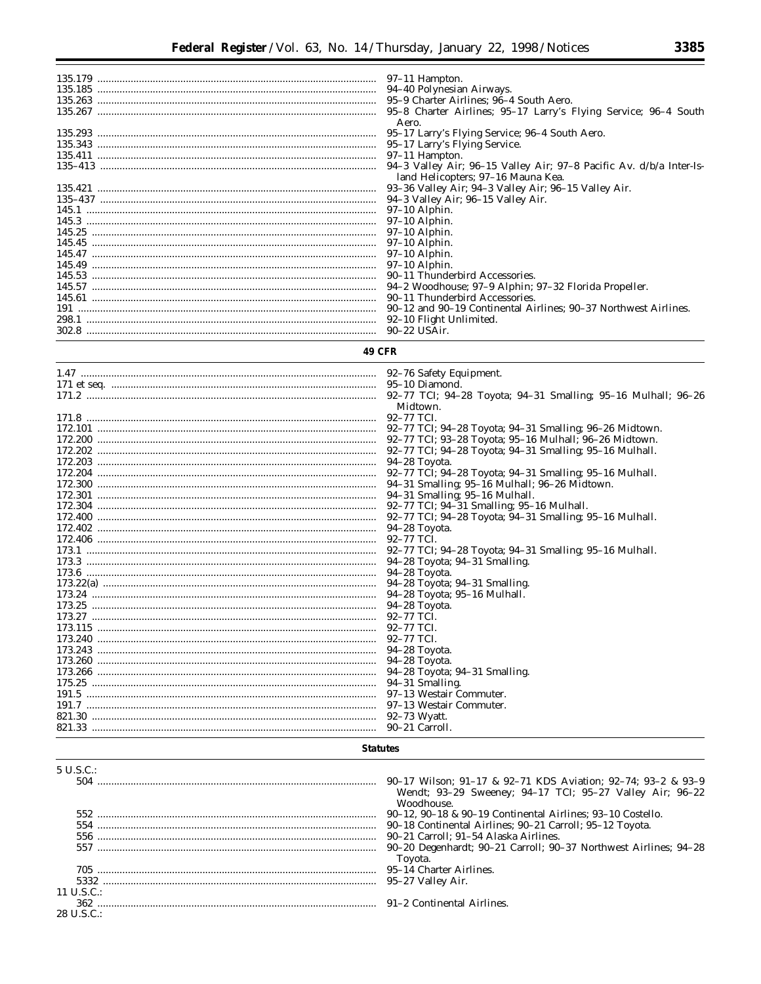e<br>B

| 95–8 Charter Airlines; 95–17 Larry's Flying Service; 96–4 South |
|-----------------------------------------------------------------|
| Aero.                                                           |
| 95–17 Larry's Flying Service; 96–4 South Aero.                  |
|                                                                 |
|                                                                 |
|                                                                 |
| land Helicopters; 97-16 Mauna Kea.                              |
| 93–36 Valley Air: 94–3 Valley Air: 96–15 Valley Air.            |
|                                                                 |
|                                                                 |
|                                                                 |
|                                                                 |
|                                                                 |
|                                                                 |
|                                                                 |
|                                                                 |
|                                                                 |
|                                                                 |
|                                                                 |
| 92–10 Flight Unlimited.                                         |
|                                                                 |

# **49 CFR**

| Midtown.                                                |
|---------------------------------------------------------|
|                                                         |
| 92–77 TCI; 94–28 Toyota; 94–31 Smalling; 96–26 Midtown. |
| 92-77 TCI; 93-28 Toyota; 95-16 Mulhall; 96-26 Midtown.  |
| 92–77 TCI; 94–28 Toyota; 94–31 Smalling; 95–16 Mulhall. |
|                                                         |
| 92-77 TCI; 94-28 Toyota; 94-31 Smalling; 95-16 Mulhall. |
| 94-31 Smalling; 95-16 Mulhall; 96-26 Midtown.           |
| 94-31 Smalling; 95-16 Mulhall.                          |
| 92-77 TCI; 94-31 Smalling; 95-16 Mulhall.               |
| 92–77 TCI; 94–28 Toyota; 94–31 Smalling; 95–16 Mulhall. |
| 94–28 Toyota.                                           |
| 92–77 TCI.                                              |
| 92-77 TCI; 94-28 Toyota; 94-31 Smalling; 95-16 Mulhall. |
|                                                         |
| 94–28 Toyota.                                           |
| 94-28 Toyota; 94-31 Smalling.                           |
| 94-28 Toyota; 95-16 Mulhall.                            |
|                                                         |
| 92-77 TCL                                               |
| 92–77 TCL                                               |
| 92–77 TCI.                                              |
|                                                         |
|                                                         |
| 94–28 Toyota; 94–31 Smalling.                           |
| 94-31 Smalling.                                         |
|                                                         |
| 97–13 Westair Commuter.                                 |
| 92–73 Wyatt.                                            |
|                                                         |

# **Statutes**

| $5 \text{ U.S.C.}$ |                                                                  |
|--------------------|------------------------------------------------------------------|
| 504                | 90–17 Wilson; 91–17 & 92–71 KDS Aviation; 92–74; 93–2 & 93–9     |
|                    | Wendt; 93-29 Sweeney; 94-17 TCI; 95-27 Valley Air; 96-22         |
|                    | Woodhouse.                                                       |
|                    | 90–12, 90–18 & 90–19 Continental Airlines: 93–10 Costello.       |
| 554                | 90–18 Continental Airlines; 90–21 Carroll; 95–12 Toyota.         |
|                    | 90–21 Carroll: 91–54 Alaska Airlines.                            |
|                    | 90–20 Degenhardt: 90–21 Carroll: 90–37 Northwest Airlines: 94–28 |
|                    | Toyota.                                                          |
|                    | 95-14 Charter Airlines.                                          |
|                    |                                                                  |
| 11 U.S.C.:         |                                                                  |
|                    |                                                                  |
| 28 U.S.C.:         |                                                                  |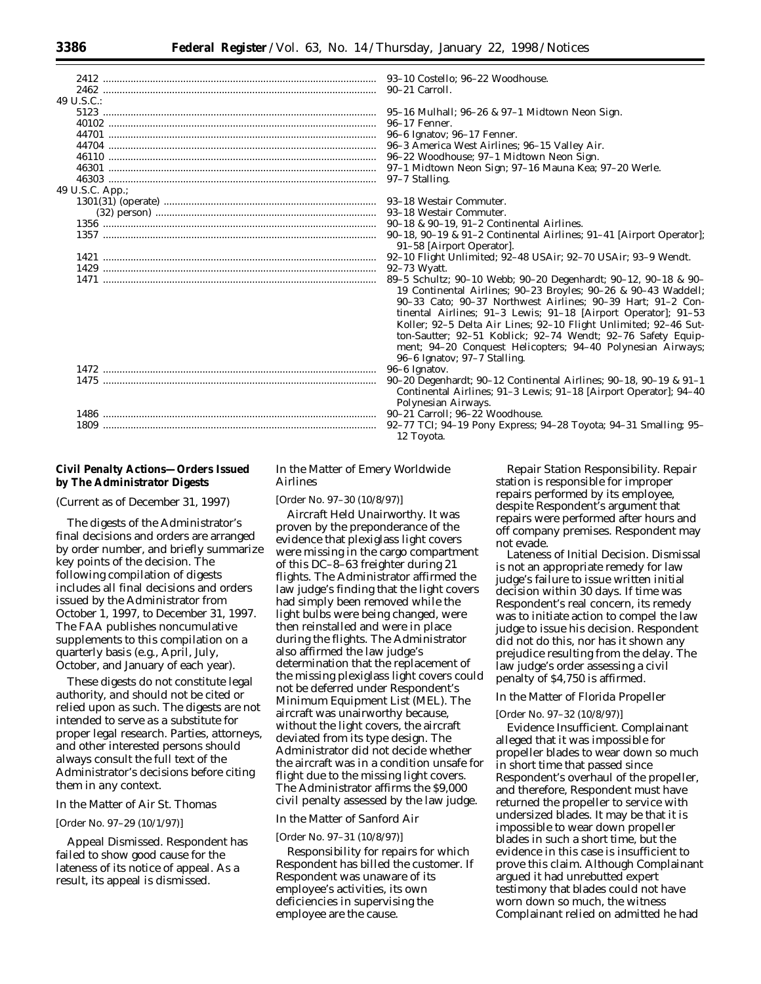| 49 U.S.C.:      |                                                                              |
|-----------------|------------------------------------------------------------------------------|
|                 |                                                                              |
|                 | 96–17 Fenner.                                                                |
|                 |                                                                              |
|                 | 96-3 America West Airlines; 96-15 Valley Air.                                |
|                 | 96–22 Woodhouse; 97–1 Midtown Neon Sign.                                     |
|                 | 97-1 Midtown Neon Sign; 97-16 Mauna Kea; 97-20 Werle.                        |
|                 |                                                                              |
| 49 U.S.C. App.; |                                                                              |
|                 |                                                                              |
|                 |                                                                              |
|                 | 90–18 & 90–19, 91–2 Continental Airlines.                                    |
|                 | $90-18$ , $90-19$ & $91-2$ Continental Airlines; $91-41$ [Airport Operator]; |
|                 | 91–58 [Airport Operator].                                                    |
|                 | 92-10 Flight Unlimited; 92-48 USAir; 92-70 USAir; 93-9 Wendt.                |
|                 | 92–73 Wyatt.                                                                 |
| 1471            | 89-5 Schultz; 90-10 Webb; 90-20 Degenhardt; 90-12, 90-18 & 90-               |
|                 | 19 Continental Airlines; 90-23 Broyles; 90-26 & 90-43 Waddell;               |
|                 |                                                                              |

| $C_{\mathcal{C}}$ |
|-------------------|
| P <sub>C</sub>    |
|                   |
|                   |
|                   |

# **Civil Penalty Actions—Orders Issued by The Administrator Digests**

(Current as of December 31, 1997)

The digests of the Administrator's final decisions and orders are arranged by order number, and briefly summarize key points of the decision. The following compilation of digests includes all final decisions and orders issued by the Administrator from October 1, 1997, to December 31, 1997. The FAA publishes noncumulative supplements to this compilation on a quarterly basis (e.g., April, July, October, and January of each year).

*These digests do not constitute legal authority, and should not be cited or relied upon as such. The digests are not intended to serve as a substitute for proper legal research. Parties, attorneys, and other interested persons should always consult the full text of the Administrator's decisions before citing them in any context.*

#### *In the Matter of Air St. Thomas*

#### [Order No. 97–29 (10/1/97)]

*Appeal Dismissed.* Respondent has failed to show good cause for the lateness of its notice of appeal. As a result, its appeal is dismissed.

# *In the Matter of Emery Worldwide Airlines*

[Order No. 97–30 (10/8/97)]

*Aircraft Held Unairworthy.* It was proven by the preponderance of the evidence that plexiglass light covers were missing in the cargo compartment of this DC–8–63 freighter during 21 flights. The Administrator affirmed the law judge's finding that the light covers had simply been removed while the light bulbs were being changed, were then reinstalled and were in place during the flights. The Administrator also affirmed the law judge's determination that the replacement of the missing plexiglass light covers could not be deferred under Respondent's Minimum Equipment List (MEL). The aircraft was unairworthy because, without the light covers, the aircraft deviated from its type design. The Administrator did not decide whether the aircraft was in a condition unsafe for flight due to the missing light covers. The Administrator affirms the \$9,000 civil penalty assessed by the law judge.

# *In the Matter of Sanford Air*

#### [Order No. 97–31 (10/8/97)]

Responsibility for repairs for which Respondent has billed the customer. If Respondent was unaware of its employee's activities, its own deficiencies in supervising the employee are the cause.

*Repair Station Responsibility.* Repair station is responsible for improper repairs performed by its employee, despite Respondent's argument that repairs were performed after hours and off company premises. Respondent may not evade.

*Lateness of Initial Decision.* Dismissal is not an appropriate remedy for law judge's failure to issue written initial decision within 30 days. If time was Respondent's real concern, its remedy was to initiate action to compel the law judge to issue his decision. Respondent did not do this, nor has it shown any prejudice resulting from the delay. The law judge's order assessing a civil penalty of \$4,750 is affirmed.

#### *In the Matter of Florida Propeller*

# [Order No. 97–32 (10/8/97)]

*Evidence Insufficient.* Complainant alleged that it was impossible for propeller blades to wear down so much in short time that passed since Respondent's overhaul of the propeller, and therefore, Respondent must have returned the propeller to service with undersized blades. It may be that it is impossible to wear down propeller blades in such a short time, but the evidence in this case is insufficient to prove this claim. Although Complainant argued it had unrebutted expert testimony that blades could not have worn down so much, the witness Complainant relied on admitted he had

tinental Airlines; 91–3 Lewis; 91–18 [Airport Operator]; 91–53 Koller; 92–5 Delta Air Lines; 92–10 Flight Unlimited; 92–46 Sutton-Sautter; 92–51 Koblick; 92–74 Wendt; 92–76 Safety Equipment; 94–20 Conquest Helicopters; 94–40 Polynesian Airways; 96–6 Ignatov; 97–7 Stalling. 6 Ignatov.

1475 ................................................................................................... 90–20 Degenhardt; 90–12 Continental Airlines; 90–18, 90–19 & 91–1 Continental Airlines; 91–3 Lewis; 91–18 [Airport Operator]; 94–40 **Plynesian Airways.** 

19 Continental Airlines; 90–23 Broyles; 90–26 & 90–43 Waddell; 90–33 Cato; 90–37 Northwest Airlines; 90–39 Hart; 91–2 Con-

21 Carroll: 96–22 Woodhouse.

77 TCI; 94–19 Pony Express; 94–28 Toyota; 94–31 Smalling; 95– 12 Toyota.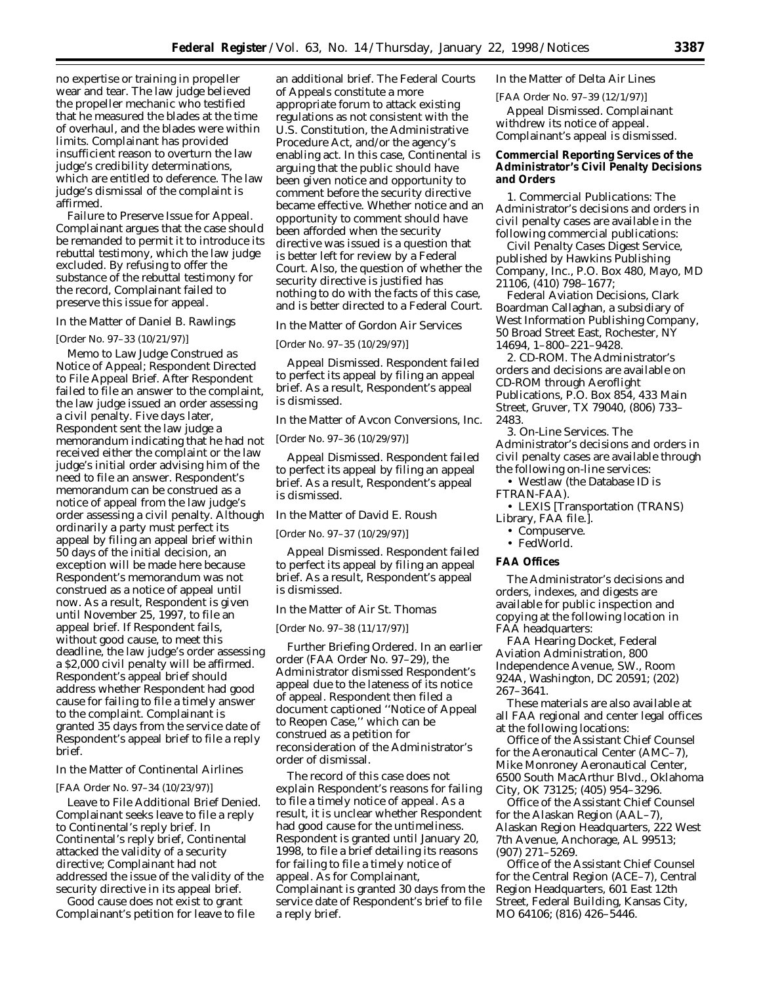no expertise or training in propeller wear and tear. The law judge believed the propeller mechanic who testified that he measured the blades at the time of overhaul, and the blades were within limits. Complainant has provided insufficient reason to overturn the law judge's credibility determinations, which are entitled to deference. The law judge's dismissal of the complaint is affirmed.

*Failure to Preserve Issue for Appeal.* Complainant argues that the case should be remanded to permit it to introduce its rebuttal testimony, which the law judge excluded. By refusing to offer the substance of the rebuttal testimony for the record, Complainant failed to preserve this issue for appeal.

#### *In the Matter of Daniel B. Rawlings*

#### [Order No. 97–33 (10/21/97)]

*Memo to Law Judge Construed as Notice of Appeal; Respondent Directed to File Appeal Brief.* After Respondent failed to file an answer to the complaint, the law judge issued an order assessing a civil penalty. Five days later, Respondent sent the law judge a memorandum indicating that he had not received either the complaint or the law judge's initial order advising him of the need to file an answer. Respondent's memorandum can be construed as a notice of appeal from the law judge's order assessing a civil penalty. Although ordinarily a party must perfect its appeal by filing an appeal brief within 50 days of the initial decision, an exception will be made here because Respondent's memorandum was not construed as a notice of appeal until now. As a result, Respondent is given until November 25, 1997, to file an appeal brief. If Respondent fails, without good cause, to meet this deadline, the law judge's order assessing a \$2,000 civil penalty will be affirmed. Respondent's appeal brief should address whether Respondent had good cause for failing to file a timely answer to the complaint. Complainant is granted 35 days from the service date of Respondent's appeal brief to file a reply brief.

# *In the Matter of Continental Airlines*

#### [FAA Order No. 97–34 (10/23/97)]

*Leave to File Additional Brief Denied.* Complainant seeks leave to file a reply to Continental's reply brief. In Continental's reply brief, Continental attacked the validity of a security directive; Complainant had not addressed the issue of the validity of the security directive in its appeal brief.

Good cause does not exist to grant Complainant's petition for leave to file an additional brief. The Federal Courts of Appeals constitute a more appropriate forum to attack existing regulations as not consistent with the U.S. Constitution, the Administrative Procedure Act, and/or the agency's enabling act. In this case, Continental is arguing that the public should have been given notice and opportunity to comment before the security directive became effective. Whether notice and an opportunity to comment should have been afforded when the security directive was issued is a question that is better left for review by a Federal Court. Also, the question of whether the security directive is justified has nothing to do with the facts of this case, and is better directed to a Federal Court.

#### *In the Matter of Gordon Air Services*

[Order No. 97–35 (10/29/97)]

*Appeal Dismissed.* Respondent failed to perfect its appeal by filing an appeal brief. As a result, Respondent's appeal is dismissed.

#### *In the Matter of Avcon Conversions, Inc.*

#### [Order No. 97–36 (10/29/97)]

*Appeal Dismissed.* Respondent failed to perfect its appeal by filing an appeal brief. As a result, Respondent's appeal is dismissed.

#### *In the Matter of David E. Roush*

[Order No. 97–37 (10/29/97)]

*Appeal Dismissed.* Respondent failed to perfect its appeal by filing an appeal brief. As a result, Respondent's appeal is dismissed.

#### *In the Matter of Air St. Thomas*

[Order No. 97–38 (11/17/97)]

*Further Briefing Ordered.* In an earlier order (FAA Order No. 97–29), the Administrator dismissed Respondent's appeal due to the lateness of its notice of appeal. Respondent then filed a document captioned ''Notice of Appeal to Reopen Case,'' which can be construed as a petition for reconsideration of the Administrator's order of dismissal.

The record of this case does not explain Respondent's reasons for failing to file a timely notice of appeal. As a result, it is unclear whether Respondent had good cause for the untimeliness. Respondent is granted until January 20, 1998, to file a brief detailing its reasons for failing to file a timely notice of appeal. As for Complainant, Complainant is granted 30 days from the service date of Respondent's brief to file a reply brief.

# *In the Matter of Delta Air Lines*

[FAA Order No. 97–39 (12/1/97)] *Appeal Dismissed.* Complainant withdrew its notice of appeal. Complainant's appeal is dismissed.

# **Commercial Reporting Services of the Administrator's Civil Penalty Decisions and Orders**

1. *Commercial Publications:* The Administrator's decisions and orders in civil penalty cases are available in the following commercial publications:

*Civil Penalty Cases Digest Service,* published by Hawkins Publishing Company, Inc., P.O. Box 480, Mayo, MD 21106, (410) 798–1677;

*Federal Aviation Decisions,* Clark Boardman Callaghan, a subsidiary of West Information Publishing Company, 50 Broad Street East, Rochester, NY 14694, 1–800–221–9428.

2. *CD-ROM.* The Administrator's orders and decisions are available on CD-ROM through Aeroflight Publications, P.O. Box 854, 433 Main Street, Gruver, TX 79040, (806) 733– 2483.

3. *On-Line Services.* The Administrator's decisions and orders in civil penalty cases are available through the following on-line services:

• Westlaw (the Database ID is FTRAN-FAA).

• LEXIS [Transportation (TRANS) Library, FAA file.].

- Compuserve.
- FedWorld.

### **FAA Offices**

The Administrator's decisions and orders, indexes, and digests are available for public inspection and copying at the following location in FAA headquarters:

FAA Hearing Docket, Federal Aviation Administration, 800 Independence Avenue, SW., Room 924A, Washington, DC 20591; (202) 267–3641.

These materials are also available at all FAA regional and center legal offices at the following locations:

Office of the Assistant Chief Counsel for the Aeronautical Center (AMC–7), Mike Monroney Aeronautical Center, 6500 South MacArthur Blvd., Oklahoma City, OK 73125; (405) 954–3296.

Office of the Assistant Chief Counsel for the Alaskan Region (AAL–7), Alaskan Region Headquarters, 222 West 7th Avenue, Anchorage, AL 99513; (907) 271–5269.

Office of the Assistant Chief Counsel for the Central Region (ACE–7), Central Region Headquarters, 601 East 12th Street, Federal Building, Kansas City, MO 64106; (816) 426–5446.